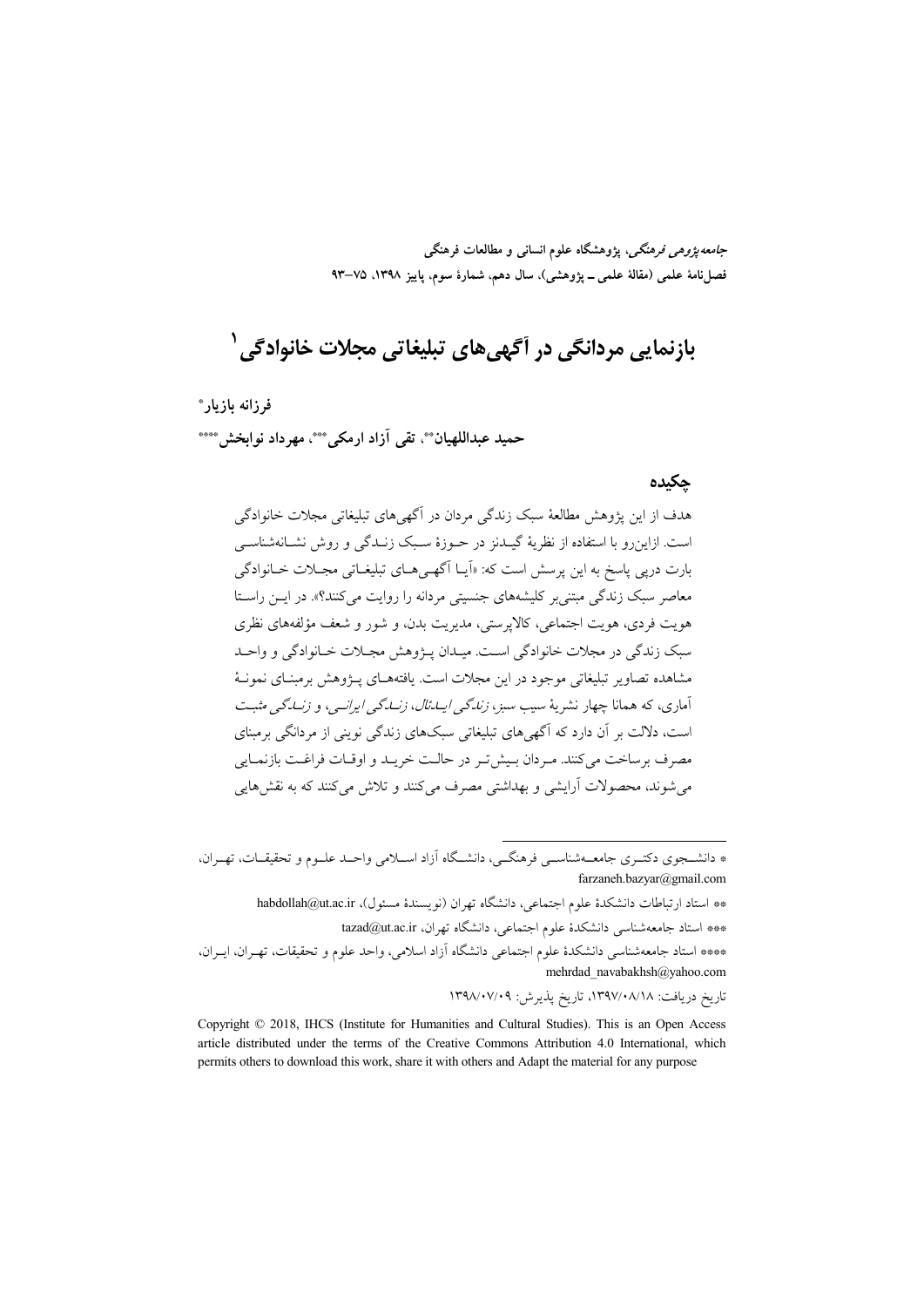*جامعه پژوهی فرهنگی،* پژوهشگاه علوم انسانی و مطالعات فرهنگی فصلنامهٔ علمی (مقالهٔ علمی ــ پژوهشی)، سال دهم، شمارهٔ سوم، پاییز ۱۳۹۸، ۷۵–۹۳

# بازنمایی مردانگی در آگهیهای تبلیغاتی مجلات خانوادگی <sup>۱</sup>

فرزانه يازيار\*

حميد عبداللهبان\*\*، تقي آزاد ارمكي\*\*\*، مهرداد نوابخش\*\*\*\*

#### جكيده

هدف از این یژوهش مطالعهٔ سبک زندگی مردان در آگهی های تبلیغاتی مجلات خانوادگی است. ازاین٫رو با استفاده از نظریهٔ گیــدنز در حــوزهٔ ســبک زنــدگی و روش نشــانهشناســی بارت درپی پاسخ به این پرسش است که: «اَپا اَگهبے هیای تبلیغیاتی مجبلات خیانوادگی معاصر سبک زندگی مبتنے پر کلیشههای جنسیتی مردانه را روایت می کنند؟». در ایــز راســتا هويت فردي، هويت اجتماعي، كالاپرستي، مديريت بدن، و شور و شعف مؤلفههاي نظري سبک زندگی در مجلات خانوادگی است. میـدان پـژوهش مجـلات خـانوادگی و واحـد مشاهده تصاویر تبلیغاتی موجود در این مجلات است. یافتههـای پـژوهش برمینـای نمونـهٔ .<br>آماري، كه همانا چهار نشريهٔ سيب سبز، *زندگي ايسائال، زنسگي ايرانسي*، و *زنسگي مثبت* است، دلالت بر آن دارد که آگهیهای تبلیغاتی سبکهای زندگی نوینی از مردانگی برمبنای مصرف برساخت می کنند. مـردان بـیش تـر در حالـت خریـد و اوقـات فراغـت بازنمـایی می شوند، محصولات آرایشی و بهداشتی مصرف می کنند و تلاش می کنند که به نقش هایی

تاريخ دريافت: ١٣٩٧/٠٨/١٨، تاريخ پذيرش: ١٣٩٨/٠٧/٠٩

<sup>\*</sup> دانشــجوی دکتـری جامعــهشناســی فرهنگــی، دانشــگاه آزاد اســلامی واحــد علــوم و تحقیقــات، تهـران، farzaneh.bazyar@gmail.com

<sup>\*\*</sup> استاد ارتباطات دانشکدهٔ علوم اجتماعی، دانشگاه تهران (نویسندهٔ مسئول)، habdollah@ut.ac.ir \*\*\* استاد جامعهشناسی دانشکدهٔ علوم اجتماعی، دانشگاه تهران، tazad@ut.ac.ir

<sup>\*\*\*</sup> استاد جامعهشناسی دانشکدهٔ علوم اجتماعی دانشگاه آزاد اسلامی، واحد علوم و تحقیقات، تهـران، ایـران، mehrdad navabakhsh@yahoo.com

Copyright © 2018, IHCS (Institute for Humanities and Cultural Studies). This is an Open Access article distributed under the terms of the Creative Commons Attribution 4.0 International, which permits others to download this work, share it with others and Adapt the material for any purpose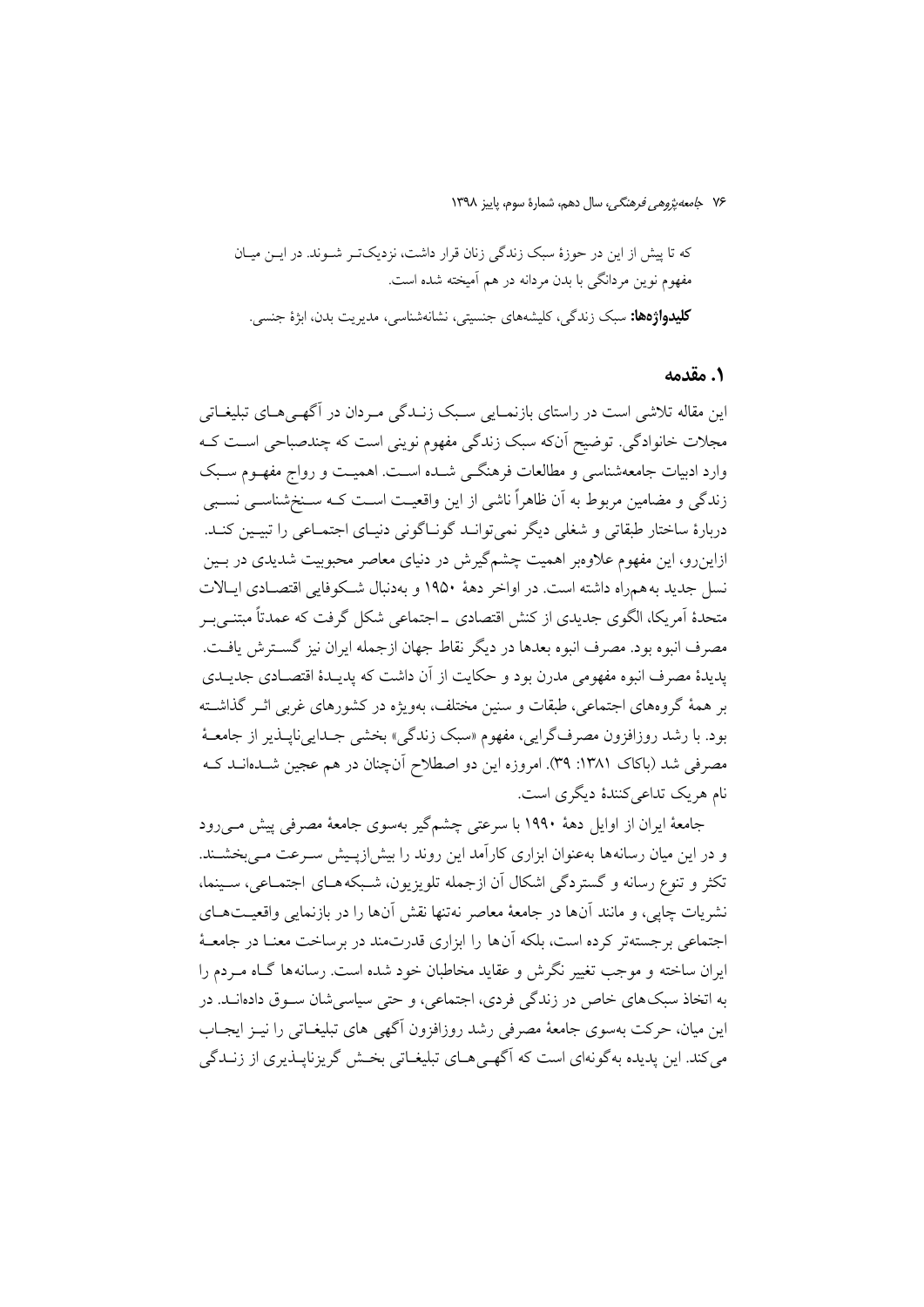که تا پیش از این در حوزهٔ سبک زندگی زنان قرار داشت، نزدیکتر شوند. در ایـن میـان مفهوم نوين مردانگي با بدن مردانه در هم آميخته شده است. **كليدواژهها:** سبك زندگي، كليشەهاي جنسيتي، نشانەشناسي، مديريت بدن، ابژهٔ جنسي.

### ١. مقدمه

این مقاله تلاشی است در راستای بازنمـایی سـبک زنـدگی مـردان در آگهـی۵حـای تبلیغــاتی مجلات خانوادگی. توضیح آنکه سبک زندگی مفهوم نوینی است که چندصباحی است ک وارد ادبیات جامعهشناسی و مطالعات فرهنگــی شــده اســت. اهمیــت و رواج مفهــوم ســبک زندگی و مضامین مربوط به اَن ظاهراً ناشی از این واقعیت است کـه سـنخشناسـی نسـبی دربارهٔ ساختار طبقاتی و شغلی دیگر نمیتوانـد گونـاگونی دنیـای اجتمـاعی را تبیـین کنـد. ازاینرو، این مفهوم علاوهبر اهمیت چشمگیرش در دنیای معاصر محبوبیت شدیدی در بـین نسل جديد به همراه داشته است. در اواخر دههٔ ۱۹۵۰ و بهدنبال شـكوفايي اقتصـادي ايـالات متحدۂ اَمریکا، الگوی جدیدی از کنش اقتصادی ۔اجتماعی شکل گرفت که عمدتاً مبتنے بِـر مصرف انبوه بود. مصرف انبوه بعدها در ديگر نقاط جهان ازجمله ايران نيز گســترش يافــت. یدیدهٔ مصرف انبوه مفهومی مدرن بود و حکایت از آن داشت که پدیــدهٔ اقتصــادی جدیــدی بر همهٔ گروههای اجتماعی، طبقات و سنین مختلف، بهویژه در کشورهای غربی اثـر گذاشـته بود. با رشد روزافزون مصرف گرايي، مفهوم «سبک زندگي» بخشي جــداييiپــذير از جامعــهٔ مصرفی شد (باکاک ۱۳۸۱: ۳۹). امروزه این دو اصطلاح آنچنان در هم عجین شـدهانــد کــه نام هريک تداعي کنندۀ ديگري است.

جامعهٔ ایران از اوایل دههٔ ۱۹۹۰ با سرعتی چشمگیر بهسوی جامعهٔ مصرفی پیش مـیرود و در این میان رسانهها بهعنوان ابزاری کارآمد این روند را بیش(پسش سـرعت مـیبخشـند. تکثر و تنوع رسانه و گستردگی اشکال آن ازجمله تلویزیون، شـبکههـای اجتمـاعی، سـینما، نشريات چايي، و مانند آنها در جامعهٔ معاصر نهتنها نقش آنها را در بازنمايي واقعيتهـاي اجتماعی برجستهتر کرده است، بلکه آنها را ابزاری قدرتمند در برساخت معنـا در جامعـهٔ ایران ساخته و موجب تغییر نگرش و عقاید مخاطبان خود شده است. رسانهها گIه مـردم را به اتخاذ سبکهای خاص در زندگی فردی، اجتماعی، و حتی سیاسی شان سـوق دادهانــد. در این میان، حرکت بهسوی جامعهٔ مصرفی رشد روزافزون آگهی های تبلیغـاتی را نیـز ایجـاب می کند. این پدیده بهگونهای است که آگهـی هـای تبلیغـاتی بخـش گریزناپـذیری از زنـدگی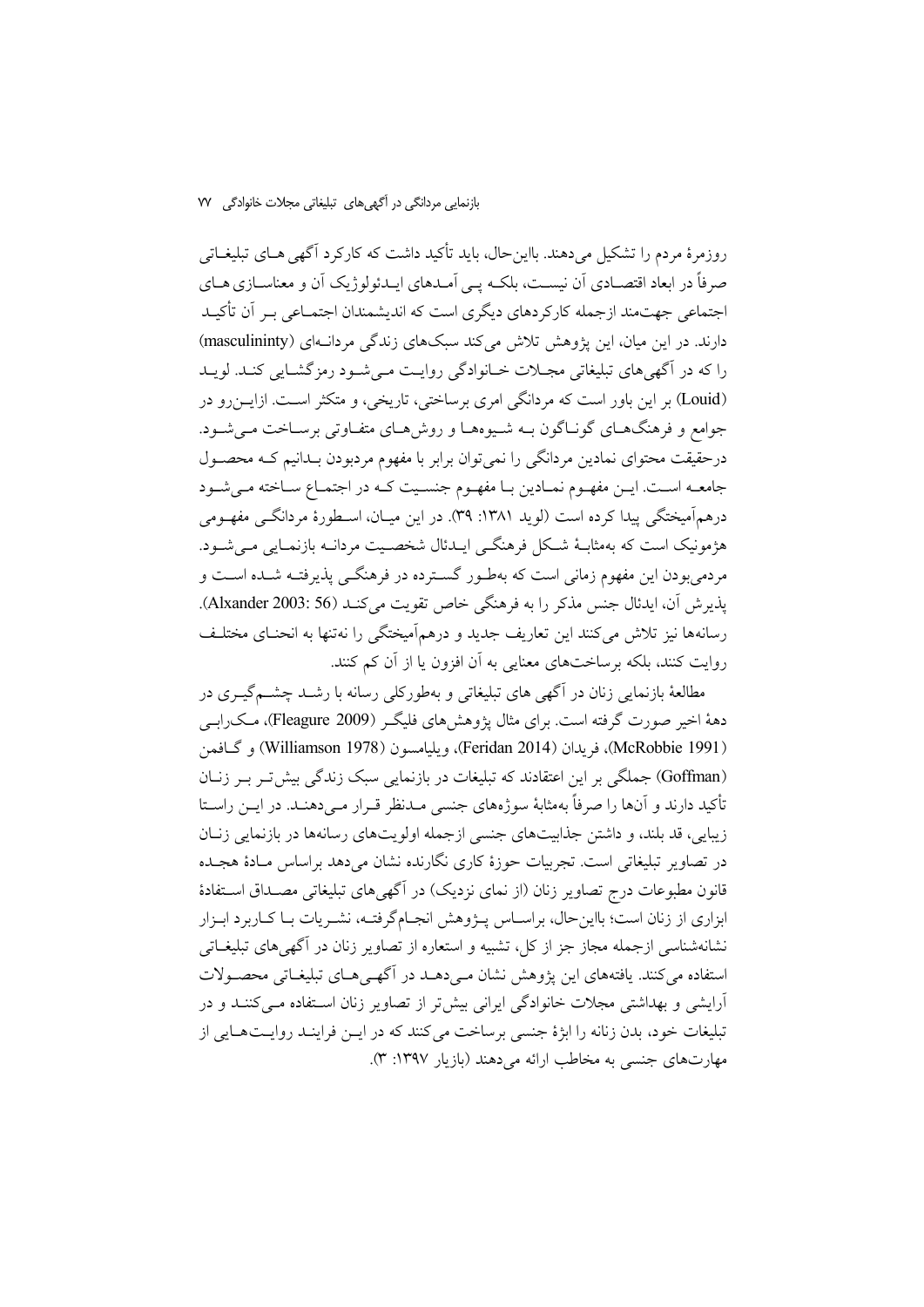روزمرهٔ مردم را تشکیل میدهند. بااینحال، باید تأکید داشت که کارکرد اگهی هــای تبلیغــاتی صرفاً در ابعاد اقتصــادی اَن نســت، بلکــه پــی اَمــدهای ابــدئولوژیک اَن و معناســازی هــای اجتماعی جهتمند ازجمله کارکردهای دیگری است که اندیشمندان اجتمـاعی بـر آن تأکیـد دارند. در این میان، این پژوهش تلاش می کند سبکهای زندگی مردانـهای (masculininty) را که در آگهی های تبلیغاتی مجـلات خـانوادگی روایـت مـی شـود رمز گشـایی کنـد. لویـد (Louid) بر این باور است که مردانگی امری برساختی، تاریخی، و متکثر است. ازایــن رو در جوامع و فرهنگهـاي گونـاگون بـه شـيوههـا و روشههـاي متفـاوتي برسـاخت مـي شـود. درحقیقت محتوای نمادین مردانگی را نمیتوان برابر با مفهوم مردبودن بــدانیم کــه محصــول جامعـه اسـت. ايــن مفهــوم نمــادين بــا مفهــوم جنســيت كــه در اجتمــاع ســاخته مــي شــود درهمأميختگي پيدا كرده است (لويد ١٣٨١: ٣٩). در اين ميـان، اســطورهٔ مردانگــي مفهــومي هژمونیک است که بهمثابـهٔ شـکل فرهنگـی ایـدئال شخصـیت مردانــه بازنمـایی مــی شــود. مردمي بودن اين مفهوم زماني است كه بهطـور گســترده در فرهنگــي يذيرفتــه شــده اســت و يذيوش أن، ايدئال جنس مذكر را به فرهنگي خاص تقويت مي كنـد (Alxander 2003: 56). رسانهها نیز تلاش میکنند این تعاریف جدید و درهمأمیختگی را نهتنها به انحنـای مختلـف روایت کنند، بلکه برساختهای معنایی به آن افزون یا از آن کم کنند.

مطالعهٔ بازنمایی زنان در آگهی های تبلیغاتی و بهطورکلی رسانه با رشــد چشــمگیــری در دههٔ اخیر صورت گرفته است. برای مثال یژوهش های فلیگ (Fleagure 2009)، مک رابـی (McRobbie 1991)، فريدان (Feridan 2014)، ويليامسون (Williamson 1978) وكافمن (Goffman) جملگی بر این اعتقادند که تبلیغات در بازنمایی سبک زندگی بیش تـر بـر زنـان تأكيد دارند و آنها را صرفاً بهمثابهٔ سوژههاي جنسي مـدنظر قـرار مـيcهنـد. در ايــن راسـتا زيبايي، قد بلند، و داشتن جذابيتهاي جنسي ازجمله اولويتهاي رسانهها در بازنمايي زنـان در تصاویر تبلیغاتی است. تجربیات حوزهٔ کاری نگارنده نشان می دهد براساس مـادهٔ هجـده قانون مطبوعات درج تصاویر زنان (از نمای نزدیک) در آگهی های تبلیغاتی مصـداق اسـتفادهٔ ابزاری از زنان است؛ بااینحال، براسـاس پـژوهش انجـامگرفتـه، نشـریات بـا كـاربرد ابـزار نشانهشناسی ازجمله مجاز جز از کل، تشبیه و استعاره از تصاویر زنان در آگهیهای تبلیغــاتی استفاده می کنند. یافتههای این پژوهش نشان مبے دهــد در آگهــی هــای تبلیغــاتی محصــولات آرایشی و بهداشتی مجلات خانوادگی ایرانی بیش تر از تصاویر زنان استفاده مـی کننـد و در تبليغات خود، بدن زنانه را ابژهٔ جنسي برساخت مي كنند كه در ايــن فراينــد روايــتهــايي از مهارتهای جنسی به مخاطب ارائه می دهند (بازیار ۱۳۹۷: ۳).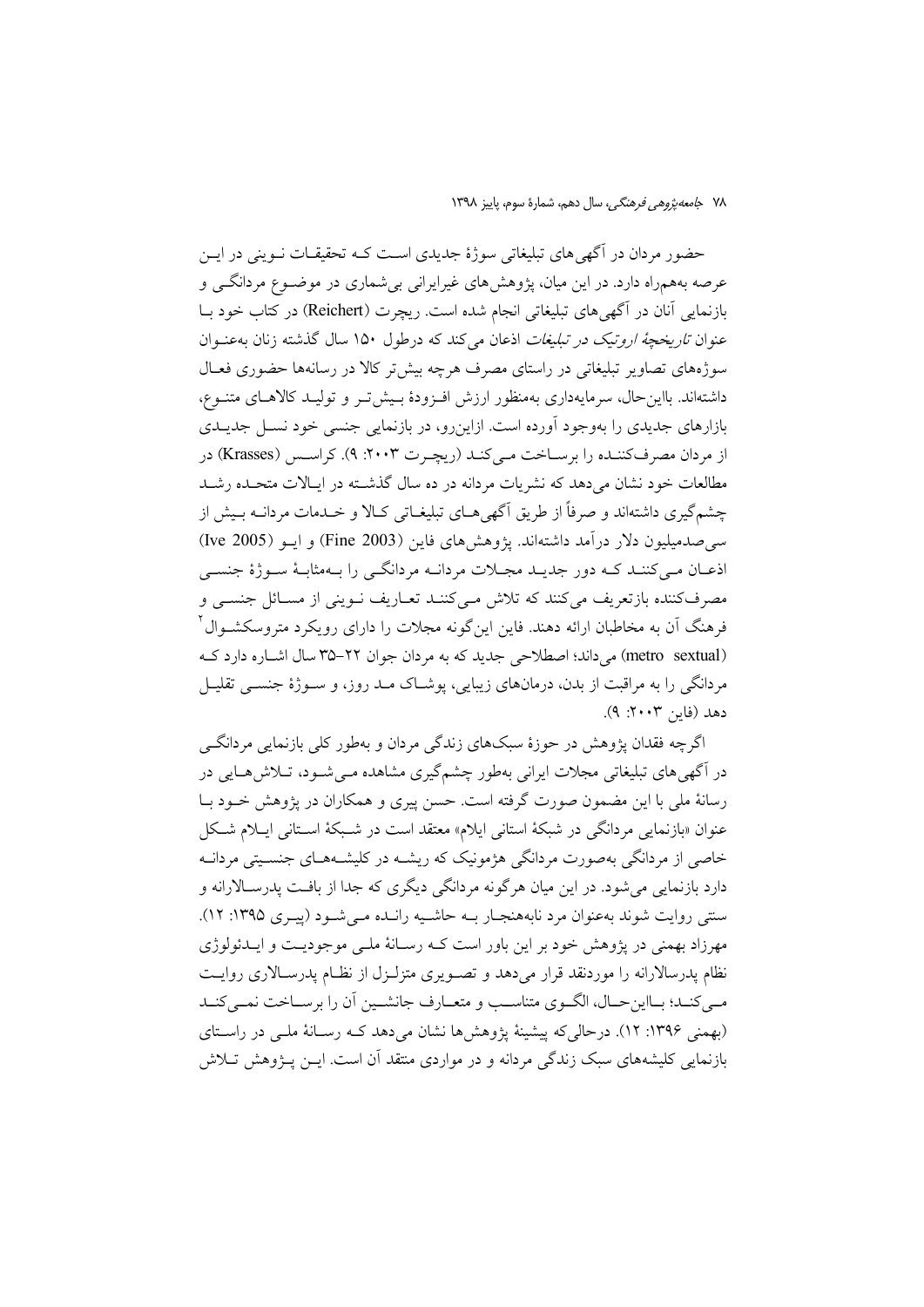حضور مردان در آگهی های تبلیغاتی سوژهٔ جدیدی اسـت کـه تحقیقــات نــوینی در ایــن عرصه بههمراه دارد. در این میان، پژوهشهای غیرایرانی بی شماری در موضـوع مردانگــی و بازنمایی اّنان در اگهیهای تبلیغاتی انجام شده است. ریچرت (Reichert) در کتاب خود بــا عنوان *تاريخچهٔ اروتيک در تبليغات* اذعان مي کند که درطول ۱۵۰ سال گذشته زنان به عنوان سوژههای تصاویر تبلیغاتی در راستای مصرف هرچه بیشتر کالا در رسانهها حضوری فعـال داشتهاند. بااین حال، سرمایهداری بهمنظور ارزش افزودهٔ بسش تـر و تولیـد کالاهـای متنـوع، بازارهای جدیدی را بهوجود آورده است. ازاین رو، در بازنمایی جنسی خود نسـل جدیــدی از مردان مصرفکننده را برسـاخت مـي کنـد (ريچـرت ٢٠٠٣: ٩). کراسـس (Krasses) در مطالعات خود نشان می دهد که نشریات مردانه در ده سال گذشته در ایـالات متحـده رشـد چشمگیری داشتهاند و صرفاً از طریق آگهی هــای تبلیغــاتی کــالا و خــدمات مردانــه بــیش از سم صدمیلیون دلار درآمد داشتهاند. یژوهش های فاین (Fine 2003) و ایــو (Ive 2005) اذعـان مـي کننـد کـه دور جديـد مجـلات مردانـه مردانگــي را بـهمثابـهٔ سـوژهٔ جنسـي مصرفکننده بازتعریف میکنند که تلاش مےکننـد تعـاریف نـوینی از مسـائل جنسـی و فرهنگ اَن به مخاطبان ارائه دهند. فاین اینگونه مجلات را دارای رویکرد متروسکشــوال ٔ (metro sextual) می داند؛ اصطلاحی جدید که به مردان جوان ٢٢-٣۵ سال اشاره دارد که مردانگی را به مراقبت از بدن، درمانهای زیبایی، پوشــاک مــد روز، و ســوژهٔ جنســی تقلیــل دهد (فار ٢٠٠٣: ٩).

اگرچه فقدان یژوهش در حوزهٔ سبکهای زندگی مردان و بهطور کلی بازنمایی مردانگے در اَگهی های تبلیغاتی مجلات ایرانی بهطور چشمگیری مشاهده مـی شـود، تــلاش هــایی در رسانهٔ ملی با این مضمون صورت گرفته است. حسن پیری و همکاران در پژوهش خـود بـا عنوان «بازنمایی مردانگی در شبکهٔ استانی ایلام» معتقد است در شـبکهٔ اسـتانی ایـلام شـکل خاصی از مردانگی بهصورت مردانگی هژمونیک که ریشـه در کلیشــههــای جنســیتی مردانــه دارد بازنمايي مي شود. در اين ميان هرگونه مردانگي ديگري كه جدا از بافت پدرسـالارانه و سنتی روایت شوند بهعنوان مرد نابههنجبار بـه حاشـیه رانـده مـی شـود (پیـری ۱۳۹۵: ۱۲). مهرزاد بهمني در يژوهش خود بر اين باور است كـه رسـانهٔ ملـي موجوديـت و ايــدئولوژي نظام یدرسالارانه را موردنقد قرار میدهد و تصـویری متزلـزل از نظـام پدرسـالاری روایـت مبي كنـد؛ بــااين حــال، الگــوي متناســب و متعــارف جانشــين أن را برســاخت نمــي كنــد (بهمنی ۱۳۹۶: ۱۲). درحالی که پیشینهٔ یژوهش ها نشان می دهد کـه رسـانهٔ ملـی در راسـتای بازنمایی کلیشههای سبک زندگی مردانه و در مواردی منتقد آن است. ایــن پــژوهش تــلاش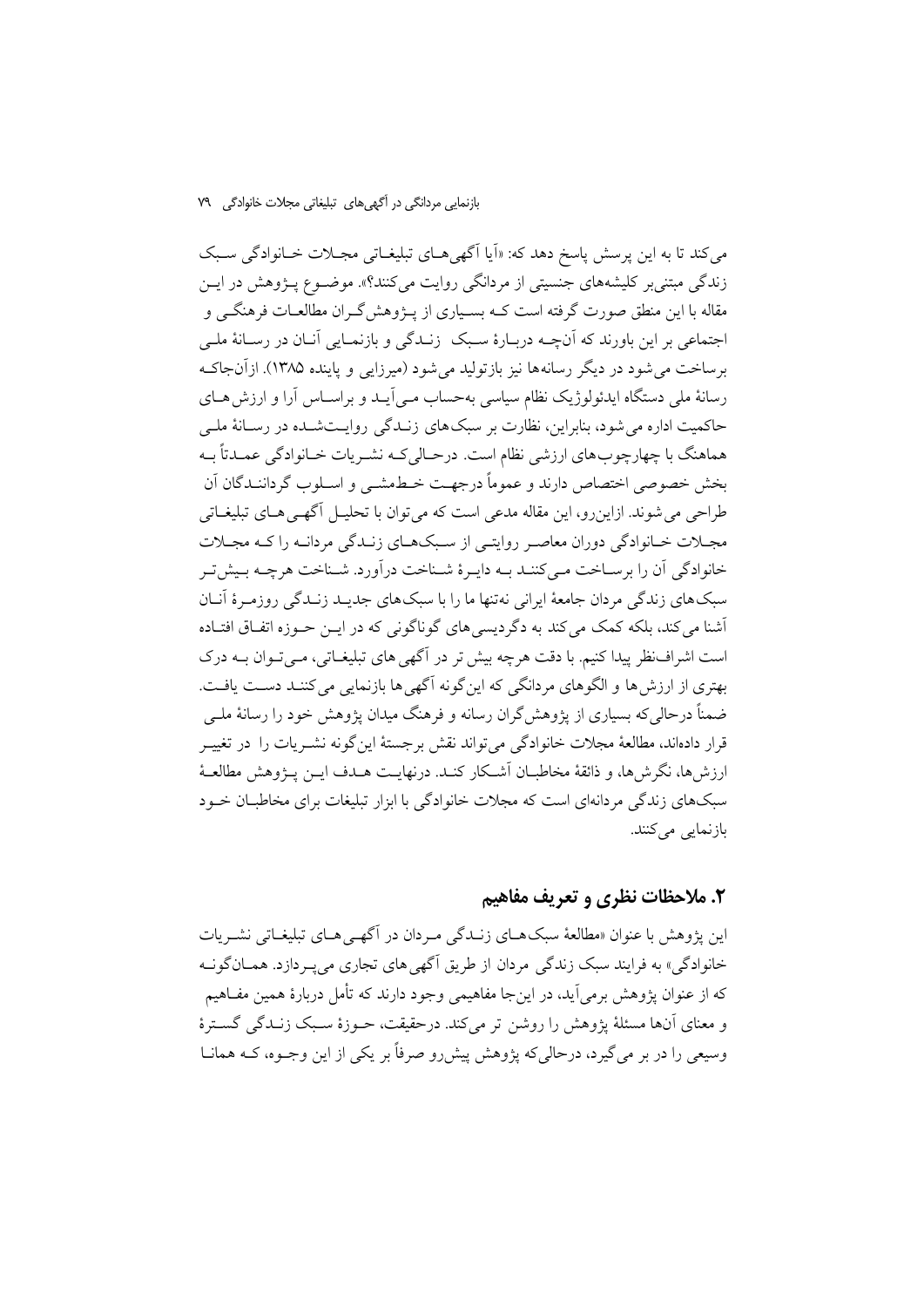می کند تا به این پرسش پاسخ دهد که: «اَیا اَگهی هـای تبلیغـاتی مجـلات خـانوادگی سـبک زندگی مبتنی بر کلیشههای جنسیتی از مردانگی روایت میکنند؟». موضـوع پـژوهش در ایـن مقاله با این منطق صورت گرفته است کــه بســیاری از پــژوهش گــران مطالعــات فرهنگــی و اجتماعی بر این باورند که آنچــه دربـارهٔ سـبک زنــدگی و بازنمـایی آنــان در رســانهٔ ملــی برساخت مي شود در ديگر رسانهها نيز بازتوليد مي شود (ميرزايي و پاينده ۱۳۸۵). ازآنجاک رسانهٔ ملی دستگاه ایدئولوژیک نظام سیاسی بهحساب مـیآیـد و براسـاس آرا و ارزش هـای حاکمیت اداره می شود، بنابراین، نظارت بر سبکهای زنــدگی روایــتشــده در رســانهٔ ملــی هماهنگ با چهارچوبهای ارزشی نظام است. درحـالی کـه نشـریات خـانوادگی عمـدتاً بـه بخش خصوصی اختصاص دارند و عموماً درجهت خـطمشـبی و اسـلوب گرداننـدگان آن طراحی می شوند. ازاینِ رو، این مقاله مدعی است که می توان با تحلیـل آگهـی هـای تبلیغـاتی مجـلات خـانوادگي دوران معاصـر روايتـي از سـبکـهـاي زنـدگي مردانـه را کـه مجـلات خانوادگی اَن را پرسپاخت میے کننید سه داسرۂ شیناخت در اَورد. شیناخت هرچیه سش تیر سبک های زندگی مردان جامعهٔ ایرانی نهتنها ما را با سبک های جدیــد زنــدگی روزمــرهٔ آنــان آشنا می کند، بلکه کمک می کند به دگردیسی های گوناگونی که در ایــن حــوزه اتفــاق افتــاده است اشراف نظر پیدا کنیم. یا دقت هرچه بیش تر در آگهی های تبلیغیاتی، مبی تبوان بیه در ک بهتري از ارزش ها و الگوهاي مردانگي كه اين گونه اگهي ها بازنمايي مي كننـد دسـت يافـت. ضمناً درحالی که بسیاری از پژوهش گران رسانه و فرهنگ میدان پژوهش خود را رسانهٔ ملــی قرار دادهاند، مطالعهٔ مجلات خانوادگی می تواند نقش برجستهٔ این گونه نشــریات را ً در تغییــر ارزش ها، نگرش ها، و ذائقهٔ مخاطبـان آشـكار كنـد. درنهايـت هـدف ايــن پــژوهش مطالعــهٔ سبکهای زندگی مردانهای است که مجلات خانوادگی با ابزار تبلیغات برای مخاطبـان خــود بازنمایی میکنند.

## ۲. ملاحظات نظری و تعریف مفاهیم

این پژوهش با عنوان «مطالعهٔ سبکهـای زنـدگی مـردان در آگهـی۵هـای تبلیغـاتی نشـریات خانوادگی» به فرایند سبک زندگی مردان از طریق آگهی های تجاری می پـردازد. همـانگونــه که از عنوان یژوهش برمیآید، در اینجا مفاهیمی وجود دارند که تأمل دربارهٔ همین مفــاهیم و معنای آنها مسئلهٔ یژوهش را روشن تر میکند. درحقیقت، حــوزهٔ ســبک زنــدگی گســترهٔ وسیعی را در بر می گیرد، درحالی که پژوهش پیش رو صرفاً بر یکی از این وجـوه، کـه همانــا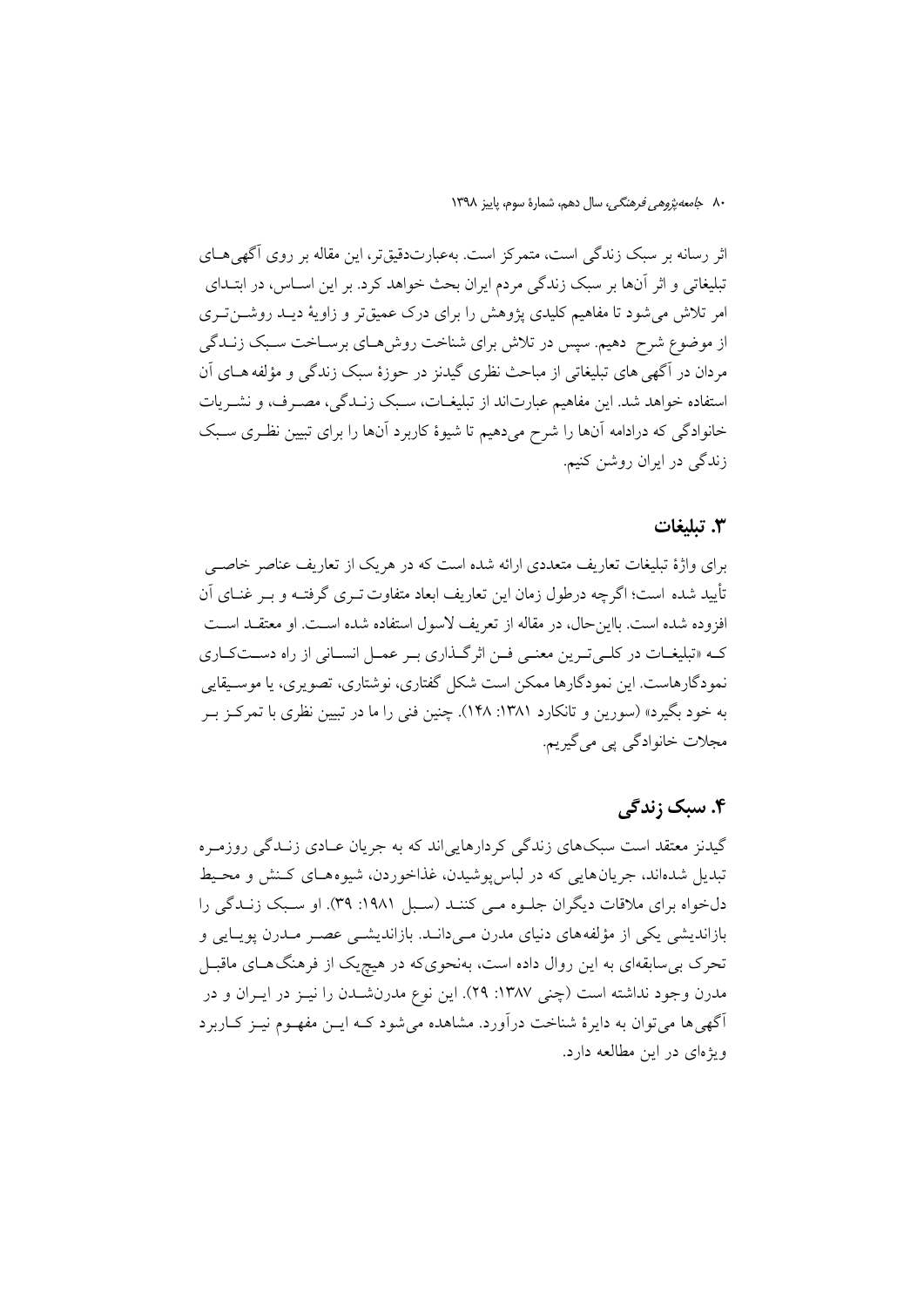اثر رسانه بر سبک زندگی است، متمرکز است. بهعبارتدقیقتر، این مقاله بر روی اَگهی هــای تبلیغاتی و اثر آنها بر سبک زندگی مردم ایران بحث خواهد کرد. بر این اسـاس، در ابتــدای امر تلاش می شود تا مفاهیم کلیدی پژوهش را برای درک عمیقتر و زاویهٔ دیـد روشــنتری از موضوع شرح دهیم. سپس در تلاش برای شناخت روش هـای برسـاخت سـبک زنــدگی مردان در آگهی های تبلیغاتی از مباحث نظری گیدنز در حوزهٔ سبک زندگی و مؤلفه هــای اَن استفاده خواهد شد. این مفاهیم عبارتاند از تبلیغـات، سـبک زنـدگی، مصـرف، و نشـریات خانوادگی که درادامه آنها را شرح میدهیم تا شیوهٔ کاربرد آنها را برای تبیین نظـری سـبک زندگی در ایران روشن کنیم.

### 3. تبليغات

برای واژهٔ تبلیغات تعاریف متعددی ارائه شده است که در هریک از تعاریف عناصر خاصبی تأييد شده است؛ اگرچه درطول زمان اين تعاريف ابعاد متفاوت تــري گرفتــه و بــر غنــاي آن افزوده شده است. بااین حال، در مقاله از تعریف لاسول استفاده شده است. او معتقـد اسـت کـه «تبلیغــات در کلــي تــرين معنــي فــن اثر گــذاري بــر عمــل انســاني از راه دســتکــاري نمودگارهاست. این نمودگارها ممکن است شکل گفتاری، نوشتاری، تصویری، یا موسـیقایی به خود بگیرد» (سورین و تانکارد ۱۳۸۱: ۱۴۸). چنین فنی را ما در تبیین نظری با تمرکـز بـر مجلات خانوادگي پي ميگيريم.

# ۴. سبک ;ندگی

گیدنز معتقد است سبکهای زندگی کردارهایی اند که به جریان عـادی زنـدگی روزمـره تبدیل شدهاند، جریان هایی که در لباس پوشیدن، غذاخوردن، شیوه هـای کـنش و محـیط دلخواه برای ملاقات دیگران جلوه مبی کننـد (سبل ۱۹۸۱: ۳۹). او سبک زنـدگی را بازاندیشی یکی از مؤلفههای دنیای مدرن مـی(انــد. بازاندیشــی عصــر مــدرن یویــایی و تحرک بی سابقهای به این روال داده است، بهنحویکه در هیچیک از فرهنگ هـای ماقبـل مدرن وجود نداشته است (چنی ۱۳۸۷: ۲۹). این نوع مدرنشـدن را نیـز در ایـران و در آگهی ها می توان به دایرهٔ شناخت درآورد. مشاهده می شود کـه ایــن مفهــوم نیــز کــاربرد ویژهای در این مطالعه دارد.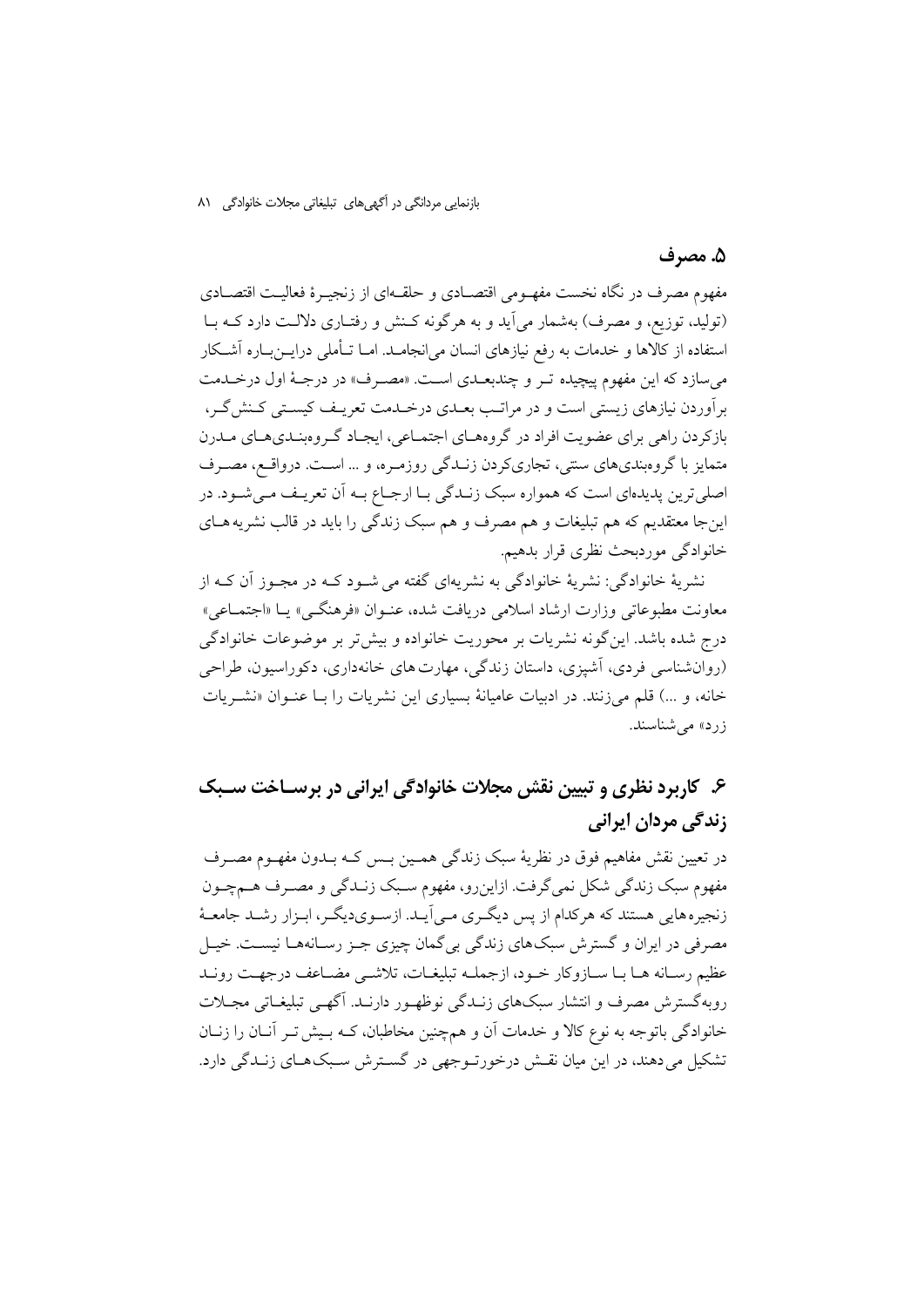بازنمایی مردانگی در آگهی های تبلیغاتی مجلات خانوادگی ۸۱

### ۵. مصرف

مفهوم مصرف در نگاه نخست مفهــومي اقتصــادي و حلقــهاي از زنجيــرهٔ فعاليــت اقتصــادي (تولید، توزیع، و مصرف) بهشمار میآید و به هرگونه کـنش و رفتـاری دلالـت دارد کـه بـا استفاده از کالاها و خدمات به رفع نیازهای انسان میانجامـد. امـا تــأملی درایــن.بـاره آشــکار مي سازد كه اين مفهوم پيچيده تـر و چندبعـدي اسـت. «مصـرف» در درجـهٔ اول درخـدمت برآوردن نیازهای زیستی است و در مراتب بعـدی درخـدمت تعریـف کیسـتی کـنش گـر، بازکر دن راهی برای عضویت افراد در گروههای اجتمـاعی، ایجـاد گـروهبنـدیهـای مـدرن متمایز با گروهبندیهای سنتی، تجاریکردن زنـدگی روزمـره، و ... اسـت. درواقـع، مصـرف اصلی ترین پدیدهای است که همواره سبک زنـدگی بـا ارجـاع بـه آن تعریـف مـیشـود. در اینجا معتقدیم که هم تبلیغات و هم مصرف و هم سبک زندگی را باید در قالب نشریه هـای خانوادگی موردبحث نظری قرار بدهیم.

نشریهٔ خانوادگی: نشریهٔ خانوادگی به نشریهای گفته می شـود کـه در مجـوز آن کـه از معاونت مطبوعاتي وزارت ارشاد اسلامي دريافت شده، عنـوان «فرهنگـي» يـا «اجتمـاعي» درج شده باشد. این گونه نشریات بر محوریت خانواده و بیش تر بر موضوعات خانوادگی (روانشناسی فردی، آشپزی، داستان زندگی، مهارت های خانهداری، دکوراسیون، طراحی خانه، و ...) قلم می زنند. در ادبیات عامیانهٔ بسیاری این نشریات را بـا عنـوان «نشـریات زرد» می شناسند.

# ۶. کاربرد نظری و تبیین نقش مجلات خانوادگی ایرانی در برسـاخت سـبک زندگی مردان ایرانی

در تعیین نقش مفاهیم فوق در نظریهٔ سبک زندگی همـین بـس کـه بـدون مفهـوم مصـرف مفهوم سبک زندگی شکل نمیگرفت. ازاین رو، مفهوم سـبک زنـدگی و مصـرف هــمچــون زنجیرههایی هستند که هرکدام از پس دیگـری مـی]یـد. ازسـویدیگـر، ابـزار رشـد جامعـهٔ مصرفي در ايران و گسترش سبکهاي زندگي بي گمان چيزي جـز رسـانههــا نيســت. خيــل عظيم رسـانه هـا بـا سـازوكار خـود، ازجملـه تبليغـات، تلاشـي مضـاعف درجهـت رونـد روبهگسترش مصرف و انتشار سبکهای زنـدگی نوظهـور دارنـد. آگهـی تبلیغـاتی مجـلات خانوادگی باتوجه به نوع کالا و خدمات آن و همچنین مخاطبان، کــه بـیش تـر آنــان را زنــان تشکیل می دهند، در این میان نقــش درخورتــوجهی در گســترش ســبک۱هــای زنــدگی دارد.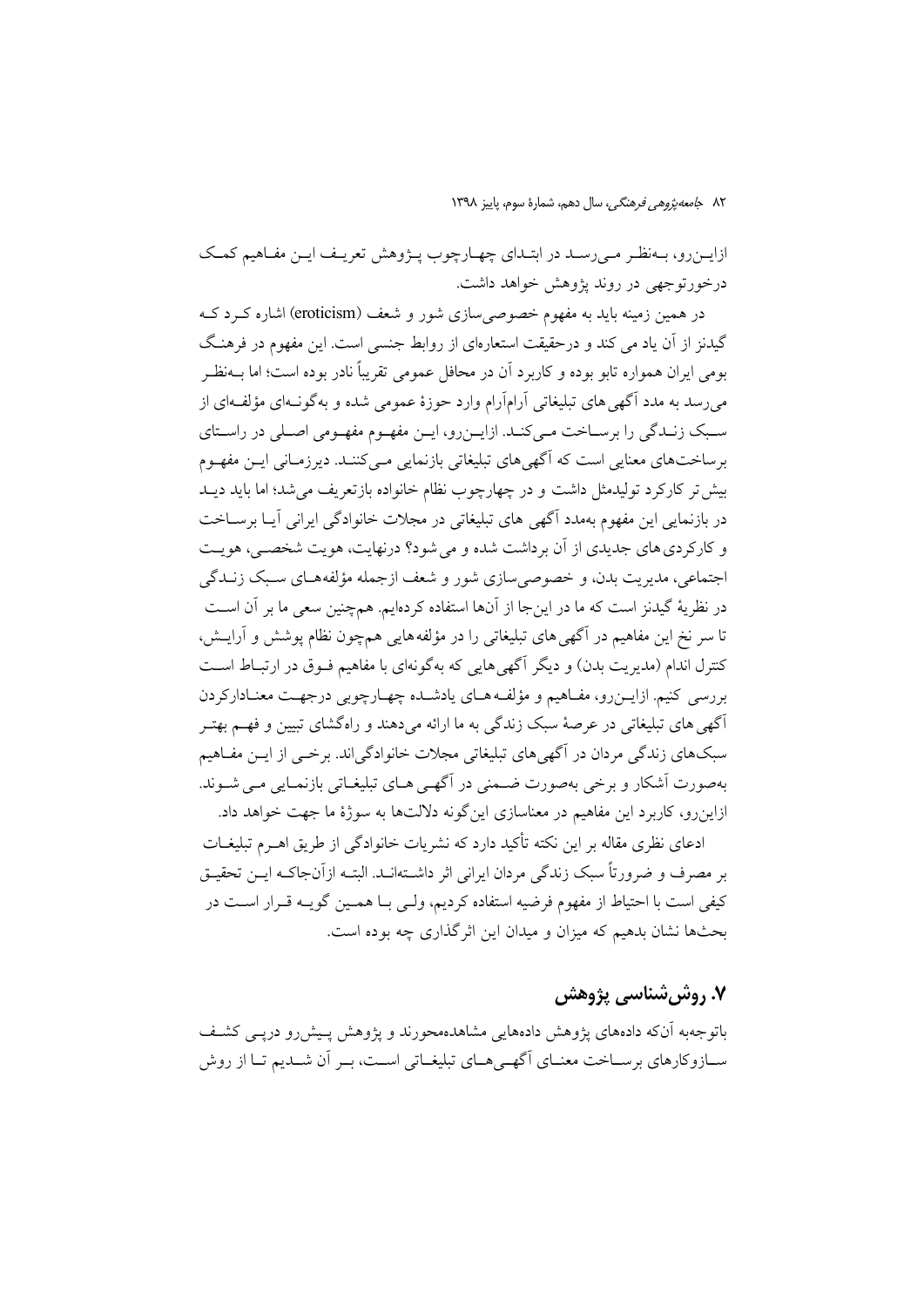ازایــنرو، بــهنظـر مــي(ســد در ابتــداي چهــارچوب پــژوهش تعریـف ایــن مفــاهیم کمــک درخورتوجهي در روند يژوهش خواهد داشت.

در همین زمینه باید به مفهوم خصوصی سازی شور و شعف (eroticism) اشاره کـرد کـه گیدنز از آن یاد می کند و درحقیقت استعارهای از روابط جنسی است. این مفهوم در فرهنگ بومي ايران همواره تابو بوده و كاربرد آن در محافل عمومي تقريباً نادر بوده است؛ اما بــهنظـر می رسد به مدد آگهی های تبلیغاتی آرامآرام وارد حوزهٔ عمومی شده و بهگونــهای مؤلفـهای از سبک زنـدگی را برسـاخت مـیکنـد. ازایـن٫رو، ایـن مفهـوم مفهـومی اصـلی در راسـتای برساختهای معنایی است که آگهیهای تبلیغاتی بازنمایی مـیکننـد. دیرزمـانی ایـن مفهـوم بیش تر کارکرد تولیدمثل داشت و در چهارچوب نظام خانواده بازتعریف می شد؛ اما باید دیــد در بازنمایی این مفهوم بهمدد آگهی های تبلیغاتی در مجلات خانوادگی ایرانی آیـا برسـاخت و کارکردی های جدیدی از آن برداشت شده و می شود؟ درنهایت، هویت شخصبی، هویت اجتماعي، مديريت بدن، و خصوصي سازي شور و شعف ازجمله مؤلفههـاي سـبک زنــدگي در نظریهٔ گیدنز است که ما در اینجا از آنها استفاده کردهایم. همچنین سعی ما بر آن اســت تا سر نخ این مفاهیم در آگهی های تبلیغاتی را در مؤلفههایی همچون نظام پوشش و آرایـش، كنترل اندام (مديريت بدن) و ديگر آگهي هايي كه بهگونهاي با مفاهيم فـوق در ارتبـاط اسـت بررسي كنيم. ازايــزرو، مفــاهيم و مؤلفــه هــاي يادشــده چهــارچوبي درجهــت معنــاداركردن ۔<br>اگھی های تبلیغاتی در عرصهٔ سبک زندگی به ما ارائه می دهند و راهگشای تبیین و فهم بهتـر سبکهای زندگی مردان در آگهیهای تبلیغاتی مجلات خانوادگیاند. برخـی از ایــن مفــاهیم بهصورت آشکار و برخی بهصورت ضمنی در آگهـی هـای تبلیغـاتی بازنمـایی مـی شـوند. ازاینرو، کاربرد این مفاهیم در معناسازی این گونه دلالتها به سوژهٔ ما جهت خواهد داد.

ادعای نظری مقاله بر این نکته تأکید دارد که نشریات خانوادگی از طریق اهـرم تبلیغــات بر مصرف و ضرورتاً سبک زندگی مردان ایرانی اثر داشــتهانــد. البتــه ازآنجاکــه ایــن تحقیــق كيفي است با احتياط از مفهوم فرضيه استفاده كرديم، ولـي بــا همــين گويــه قــرار اســت در بحثها نشان بدهیم که میزان و میدان این اثر گذاری چه بوده است.

# ٧. روش شناسي پژوهش

باتوجهبه آنکه دادههای یژوهش دادههایی مشاهدهمحورند و یژوهش پـیش(و دریــی کشـف ســازوکارهای برســاخت معنــای اَگهــی هــای تبلیغــاتی اســت، بــر اَن شــدیم تــا از روش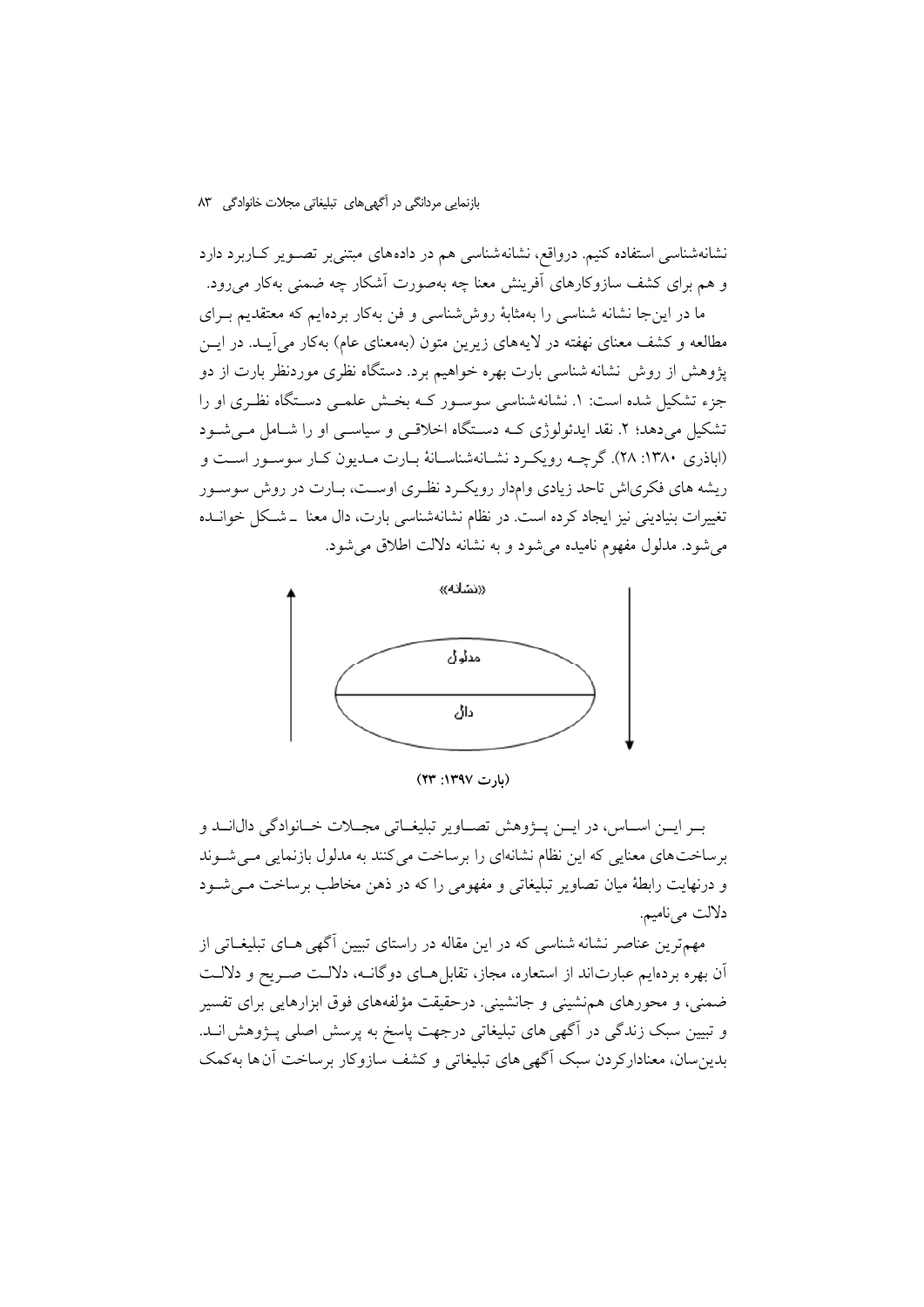نشانهشناسی استفاده کنیم. درواقع، نشانهشناسی هم در دادههای مبتنی بر تصـویر کـاربرد دارد و هم برای کشف سازوکارهای آفرینش معنا چه بهصورت آشکار چه ضمنی بهکار میرود. ما در این جا نشانه شناسی را بهمثابهٔ روششناسی و فن بهکار بردهایم که معتقدیم بـرای مطالعه و کشف معنای نهفته در لایههای زیرین متون (بهمعنای عام) بهکار می آیــد. در ایــن پژوهش از روش نشانه شناسی بارت بهره خواهیم برد. دستگاه نظری موردنظر بارت از دو جزء تشکیل شده است: ۱. نشانه شناسی سوسور کـه بخـش علمـی دسـتگاه نظـری او را تشکیل می دهد؛ ۲. نقد ایدئولوژی کـه دسـتگاه اخلاقـی و سیاسـی او را شـامل مـی شـود (اباذري ۱۳۸۰: ۲۸). گرچـه رويكـرد نشـانهشناسـانهٔ بـارت مـديون كـار سوسـور اسـت و ریشه های فکری|ش تاحد زیادی وامدار رویک د نظـری اوسـت، بـارت در روش سوسـور تغییرات بنیادینی نیز ایجاد کرده است. در نظام نشانهشناسی بارت، دال معنا \_شکل خوانـده می شود. مدلول مفهوم نامیده می شود و به نشانه دلالت اطلاق می شود.



 $(11" : 11" 1)$  (مارت ۱۳۹۷:

بو ايسن اسماس، در ايسن پسژوهش تصاوير تبليغاتي مجللات خانوادگي دال اند و برساخت های معنایی که این نظام نشانهای را برساخت می کنند به مدلول بازنمایی مـی شـوند و درنهایت رابطهٔ میان تصاویر تبلیغاتی و مفهومی را که در ذهن مخاطب برساخت مــی شــود دلالت ميiاميم.

مهمترین عناصر نشانه شناسی که در این مقاله در راستای تبیین آگهی هـای تبلیغـاتی از آن بهره بردهایم عبارتاند از استعاره، مجاز، تقابل هـای دوگانـه، دلالـت صـریح و دلالـت ضمنی، و محورهای هم نشینی و جانشینی. درحقیقت مؤلفههای فوق ابزارهایی برای تفسیر و تبیین سبک زندگی در آگهی های تبلیغاتی درجهت پاسخ به پرسش اصلی پــژوهش۱نــد. بدین سان، معنادارکر دن سبک آگهی های تبلیغاتی و کشف سازوکار بر ساخت آن ها بهکمک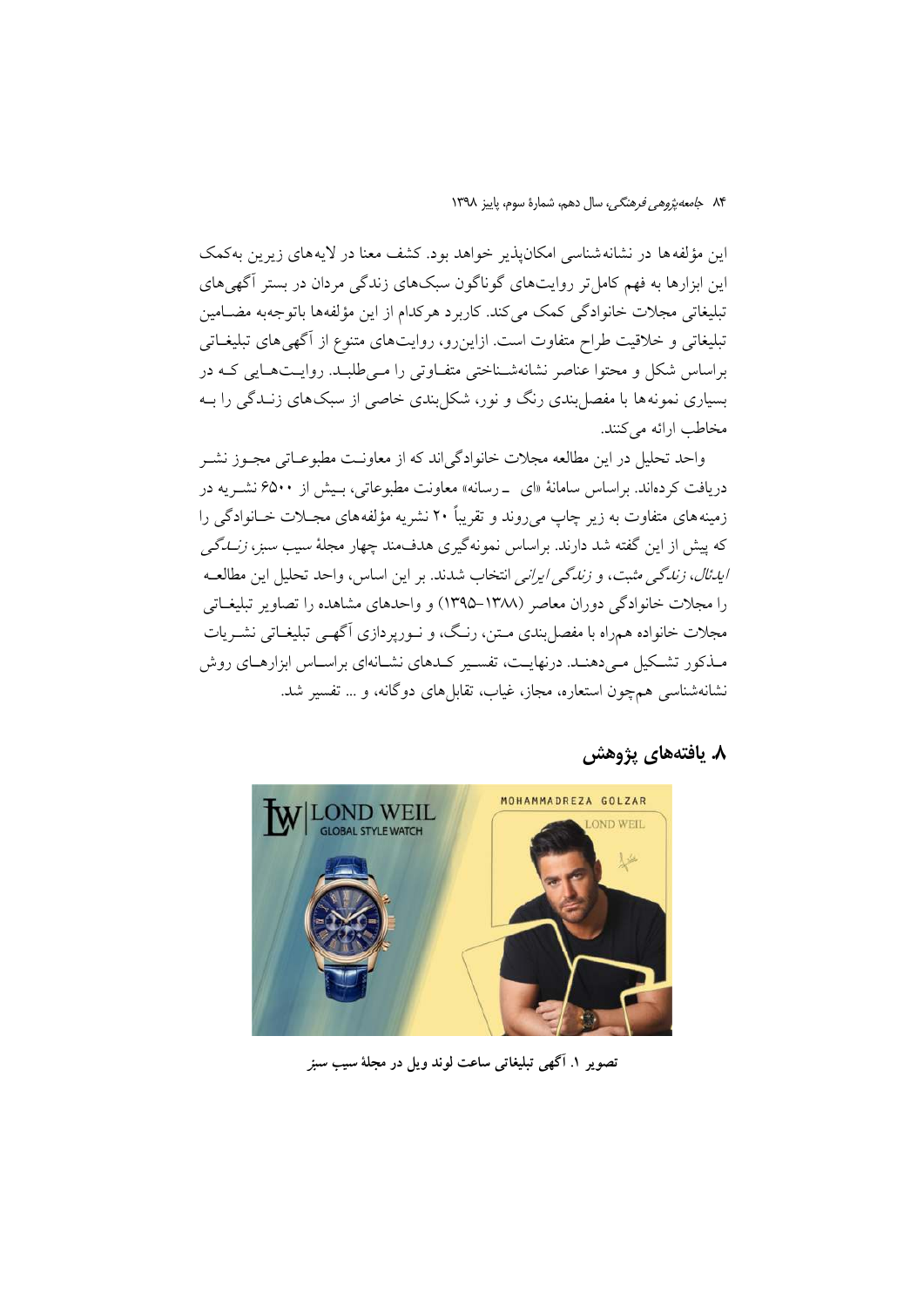این مؤلفه ها در نشانه شناسی امکان پذیر خواهد بود. کشف معنا در لایه های زیرین بهکمک این ابزارها به فهم کامل تر روایتهای گوناگون سبکهای زندگی مردان در بستر آگهی های تبلیغاتی مجلات خانوادگی کمک می کند. کاربرد هرکدام از این مؤلفهها باتوجهبه مضـامین تبلیغاتی و خلاقیت طراح متفاوت است. ازاین رو، روایتهای متنوع از آگهی های تبلیغــاتی براساس شکل و محتوا عناصر نشانهشـناختی متفـاوتی را مـی طلبـد. روایـتهـایی کـه در بسیاری نمونهها با مفصل بندی رنگ و نور، شکل بندی خاصی از سبکهای زنــدگی را بــه مخاطب ارائه مي كنند.

واحد تحلیل در این مطالعه مجلات خانوادگی اند که از معاونت مطبوعـاتی مجـوز نشـر دریافت کردهاند. براساس سامانهٔ «ای په رسانه» معاونت مطبوعاتی، بسیش از ۶۵۰۰ نشیریه در زمینه های متفاوت به زیر چاپ میروند و تقریباً ۲۰ نشریه مؤلفه های مجبلات خـانوادگی را که پیش از این گفته شد دارند. براساس نمونهگیری هدف.مند چهار مجلهٔ *سیب سبز، زنساگی ايدئال*، *زندگي مثبت*، و *زندگي ايراني* انتخاب شدند. بر اين اساس، واحد تحليل اين مطالعــه را مجلات خانوادگی دوران معاصر (۱۳۸۸–۱۳۹۵) و واحدهای مشاهده را تصاویر تبلیغیاتی مجلات خانواده همراه با مفصل بندی مــتن، رنـگ، و نــوریردازی آگهــی تبلیغــاتی نشــریات مـذکور تشـکیل مـی،دهنـد. درنهایـت، تفسـیر کـدهای نشـانهای براسـاس ابزارهـای روش نشانهشناسی همچون استعاره، مجاز، غیاب، تقابل های دوگانه، و … تفسیر شد.



### ۸. يافتەهاي پژوهش

تصوير ١. آگهي تبليغاتي ساعت لوند ويل در مجلهٔ سيب سبز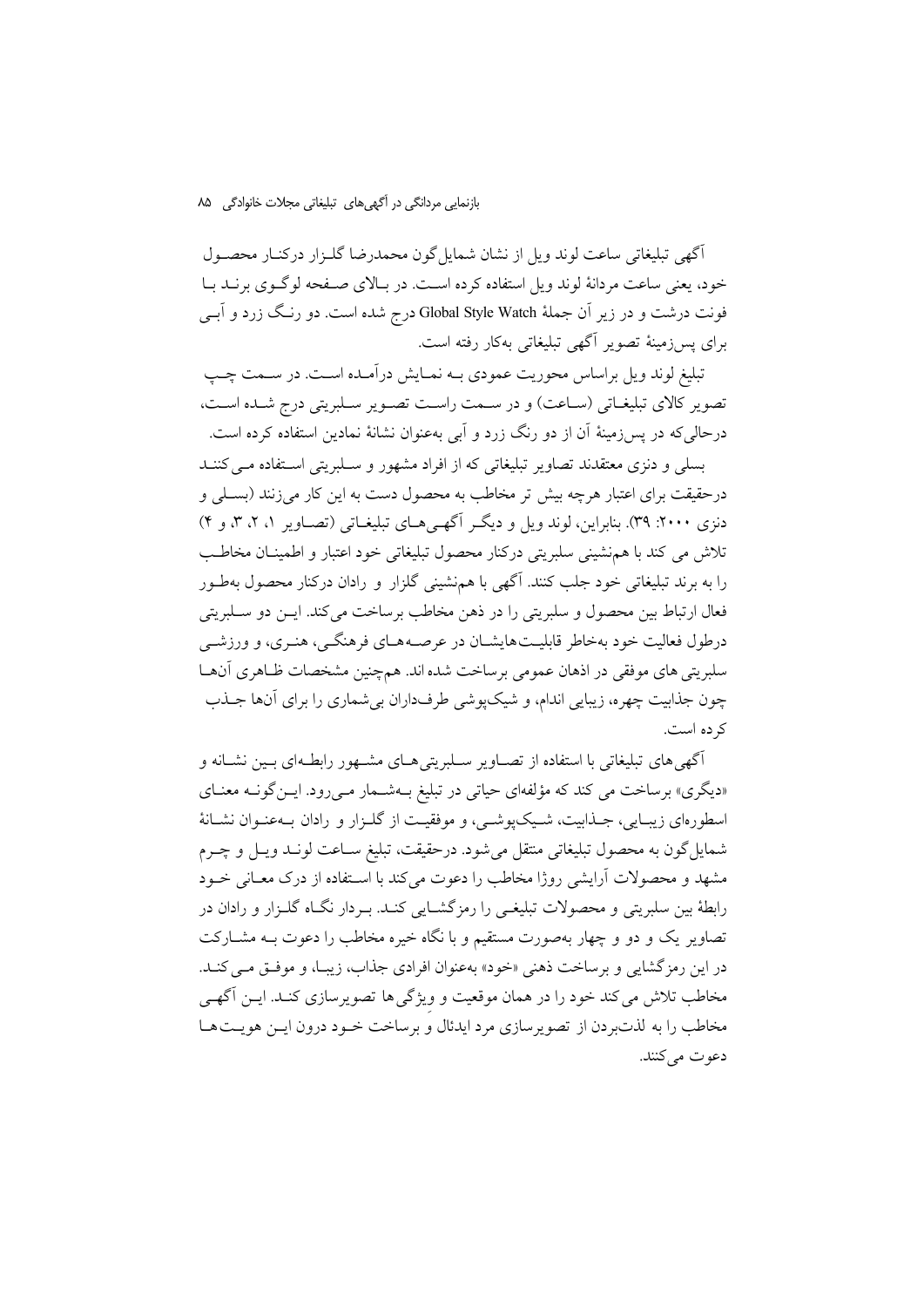اًگهی تبلیغاتی ساعت لوند ویل از نشان شمایل گون محمدرضا گلـزار درکنــار محصــول خود، یعنی ساعت مردانهٔ لوند ویل استفاده کرده است. در بـالای صـفحه لوگـوی برنـد بـا فونت درشت و در زیر اَن جملهٔ Global Style Watch درج شده است. دو رنگ زرد و اَبــی برای پسزمینهٔ تصویر آگهی تبلیغاتی بهکار رفته است.

تبلیغ لوند ویل براساس محوریت عمودی بـه نمـایش درآمـده اسـت. در ســمت چــپ تصوير كالاي تبليغــاتي (ســاعت) و در ســمت راســت تصــوير ســلبريتي درج شــده اســت، درحالی که در پس زمینهٔ آن از دو رنگ زرد و آبی بهعنوان نشانهٔ نمادین استفاده کرده است.

بسلمی و دنزی معتقدند تصاویر تبلیغاتی که از افراد مشهور و سـلبریتی اسـتفاده مـی کننـد درحقیقت برای اعتبار هرچه بیش تر مخاطب به محصول دست به این کار می زنند (بسـلی و دنزي ۲۰۰۰: ۳۹). بنابراين، لوند ويل و ديگر آگهي هـاي تبليغـاتي (تصـاوير ۱، ۲، ۳، و ۴) تلاش می کند با هم نشینی سلبریتی درکنار محصول تبلیغاتی خود اعتبار و اطمینـان مخاطـب را به برند تبلیغاتی خود جلب کنند. آگهی با هم نشینی گلزار و رادان درکنار محصول بهطـور فعال ارتباط بین محصول و سلبریتی را در ذهن مخاطب برساخت میکند. ایــن دو ســلبریتی درطول فعالیت خود بهخاطر قابلیـتهایشــان در عرصــههــای فرهنگــی، هنــری، و ورزشــی سلبريتي هاي موفقي در اذهان عمومي برساخت شده اند. هم چنين مشخصات ظـاهري آنهــا چون جذابیت چهره، زیبایی اندام، و شیکپوشی طرفداران بی شماری را برای آنها جـذب کر ده است.

آگهی های تبلیغاتی با استفاده از تصــاویر ســلبریتی هــای مشــهور رابطــهای بــین نشــانه و «دیگری» برساخت می کند که مؤلفهای حیاتی در تبلیغ بـهشـمار مـیرود. ایـنگونـه معنـای اسطورهای زیبایی، جـذابیت، شـیکپوشـی، و موفقیـت از گلـزار و رادان بـهعنـوان نشـانهٔ شمايل گون به محصول تبليغاتي منتقل مي شود. درحقيقت، تبليغ سـاعت لونـد ويـل و چـرم مشهد و محصولات اَرایشی روژا مخاطب را دعوت میکند با استفاده از درک معـانی خــود رابطهٔ بین سلبریتی و محصولات تبلیغـی را رمزگشـایی کنـد. بـردار نگـاه گلـزار و رادان در تصاویر یک و دو و چهار بهصورت مستقیم و با نگاه خیره مخاطب را دعوت بـه مشـارکت در اين رمز گشايي و برساخت ذهني «خود» بهعنوان افرادي جذاب، زيبـا، و موفـق مـي كنـد. مخاطب تلاش می کند خود را در همان موقعیت و ویژگی ها تصویرسازی کنـد. ایــن اگهــی مخاطب را به لذتبردن از تصويرسازي مرد ايدئال و برساخت خـود درون ايــن هويــت هــا دعوت مي كنند.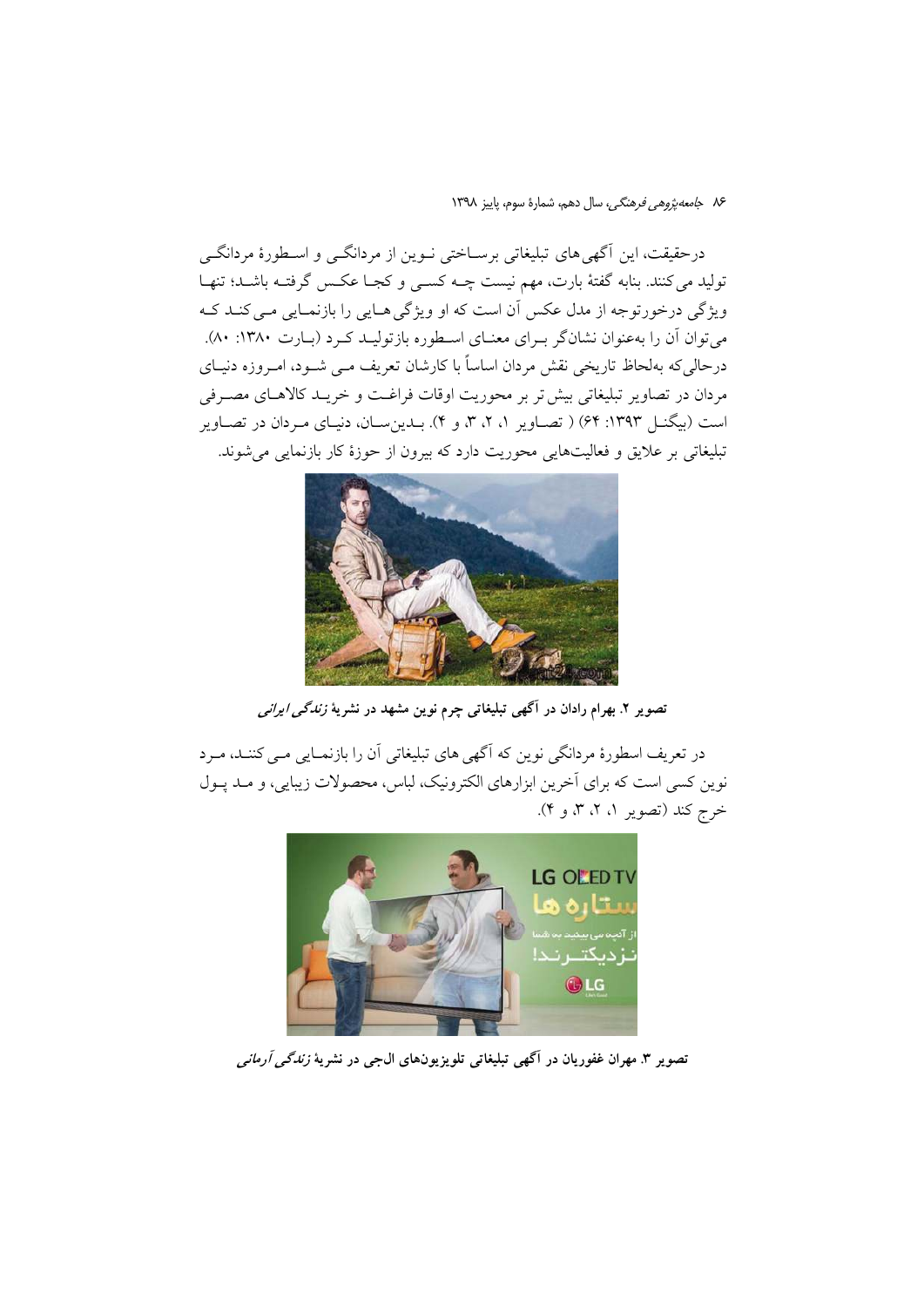درحقیقت، این آگهی های تبلیغاتی برسـاختی نــوین از مردانگــی و اســطورهٔ مردانگــی تولید می کنند. بنابه گفتهٔ بارت، مهم نیست چــه کســی و کجــا عکــس گرفتــه باشــد؛ تنهــا ویژگی درخورتوجه از مدل عکس آن است که او ویژگی هـایی را بازنمـایی مـی کنـد کـه میتوان آن را بهعنوان نشانگر بـرای معنـای اسـطوره بازتولیـد کـرد (بـارت ۱۳۸۰: ۸۰). درحالی که بهلحاظ تاریخی نقش مردان اساساً با کارشان تعریف مــی شــود، امــروزه دنیــای مردان در تصاویر تبلیغاتی بیش تر بر محوریت اوقات فراغت و خریـد کالاهـای مصـرفی است (بیگنـل ۱۳۹۳: ۶۴) ( تصـاویر ۱، ۲، ۳، و ۴). بـدینِسـان، دنیـای مـردان در تصـاویر تبلیغاتی بر علایق و فعالیتهایی محوریت دارد که بیرون از حوزهٔ کار بازنمایی می شوند.



تصویر ۲. بهرام رادان در آگهی تبلیغاتی چرم نوین مشهد در نشریهٔ *زندگی ایرانی* 

در تعریف اسطورهٔ مردانگی نوین که آگهی های تبلیغاتی آن را بازنمـایی مـی کننـد، مـرد نوین کسی است که برای آخرین ابزارهای الکترونیک، لباس، محصولات زیبایی، و مـد پـول خرج کند (تصویر ۱، ۲، ۳، و ۴).



تصوير ٣. مهران غفوريان در آگهي تبليغاتي تلويزيونهاي ال جي در نشريۀ *زندگي آرماني*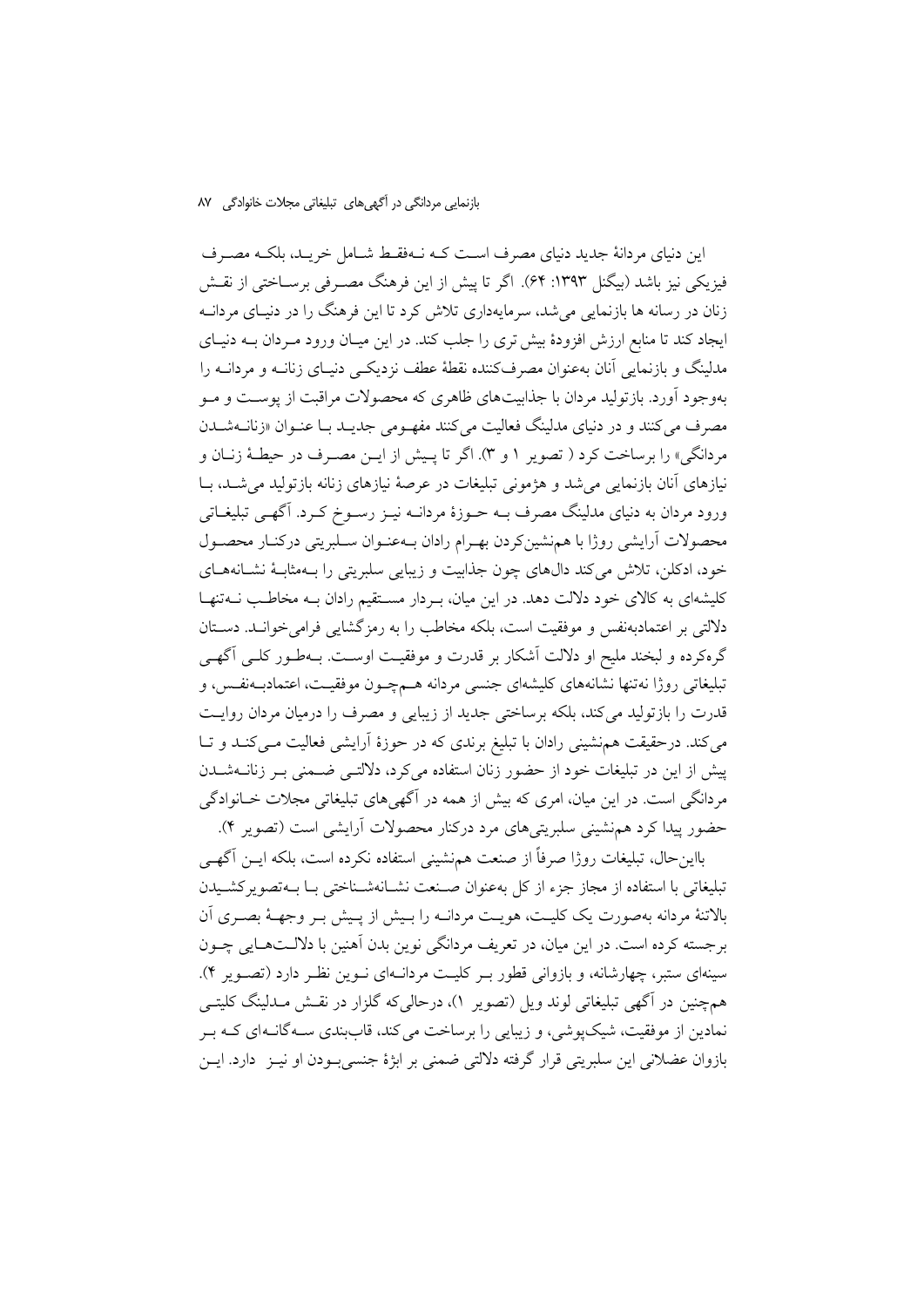این دنیای مردانهٔ جدید دنیای مصرف است کـه نـهفقـط شـامل خریـد، بلکـه مصـرف فیزیکی نیز باشد (بیگنل ۱۳۹۳: ۶۴). اگر تا پیش از این فرهنگ مصـرفی برســاختی از نقــش زنان در رسانه ها بازنمایی می شد، سرمایهداری تلاش کرد تا این فرهنگ را در دنیـای مردانــه ایجاد کند تا منابع ارزش افزودهٔ بیش تری را جلب کند. در این میـان ورود مـردان بـه دنیـای مدلینگ و بازنمایی آنان بهعنوان مصرفکننده نقطهٔ عطف نزدیکـی دنیـای زنانــه و مردانــه را بهوجود آورد. بازتولید مردان با جذابیتهای ظاهری که محصولات مراقبت از پوست و مـو مصرف می کنند و در دنیای مدلینگ فعالیت میکنند مفهـومی جدیـد بـا عنـوان «زنانــهشـدن مردانگی» را برساخت کرد ( تصویر ۱ و ۳). اگر تا پـیش از ایــن مصــرف در حیطــهٔ زنــان و نیازهای آنان بازنمایی می شد و هژمونی تبلیغات در عرصهٔ نیازهای زنانه بازتولید می شـد، بــا ورود مردان به دنیای مدلینگ مصرف بـه حــوزهٔ مردانــه نیــز رســوخ کــرد. آگهــی تبلیغــاتـی محصولات أرايشي روژا با هم نشين كردن بهـرام رادان بـهعنـوان سـلبريتي دركنـار محصـول خود، ادکلن، تلاش می کند دال های چون جذابیت و زیبایی سلبریتی را بـهمثابـهٔ نشــانههــای کلیشهای به کالای خود دلالت دهد. در این میان، بـردار مسـتقیم رادان بـه مخاطـب نــهتنهـا دلالتی بر اعتمادبهنفس و موفقیت است، بلکه مخاطب را به رمزگشایی فرامی خوانـد. دسـتان گرهکرده و لبخند ملیح او دلالت آشکار بر قدرت و موفقیت اوست. بـهطـور کلــی آگهــی تبليغاتي روژا نهتنها نشانههاي كليشهاي جنسي مردانه هـمچـون موفقيـت، اعتمادبــهنفـس، و قدرت را بازتولید میکند، بلکه برساختی جدید از زیبایی و مصرف را درمیان مردان روایت می کند. درحقیقت هم نشینی رادان با تبلیغ برندی که در حوزهٔ آرایشی فعالیت مـیکنـد و تـا ییش از این در تبلیغات خود از حضور زنان استفاده می کرد، دلالتـبی ضـمنی بـر زنانــهشــدن مردانگی است. در این میان، امری که بیش از همه در آگهی های تبلیغاتی مجلات خــانوادگی حضور پیدا کرد هم نشینی سلبریتی های مرد درکنار محصولات آرایشی است (تصویر ۴).

بااینحال، تبلیغات روژا صرفاً از صنعت همهنشینی استفاده نکرده است، بلکه ایــن آگهـی تبليغاتي با استفاده از مجاز جزء از كل بهعنوان صنعت نشـانهشـناختي بـا بــهتصوير كشـيدن بالاتنهٔ مردانه بهصورت یک کلیـت، هویـت مردانــه را بـیش از پـیش بـر وجهــهٔ بصــری آن برجسته کرده است. در این میان، در تعریف مردانگی نوین بدن آهنین با دلالـتهـایی چــون سینهای ستبر، چهارشانه، و بازوانی قطور بـر کلیـت مردانـهای نـوین نظـر دارد (تصـویر ۴). همچنین در آگهی تبلیغاتی لوند ویل (تصویر ۱)، درحالی که گلزار در نقـش مـدلینگ کلیتـی نمادین از موفقیت، شیکپوشی، و زیبایی را برساخت میکند، قاببندی ســهگانــهای کــه بــر بازوان عضلاني اين سلبريتي قرار گرفته دلالتي ضمني بر ابژهٔ جنسي بـودن او نيــز دارد. ايــن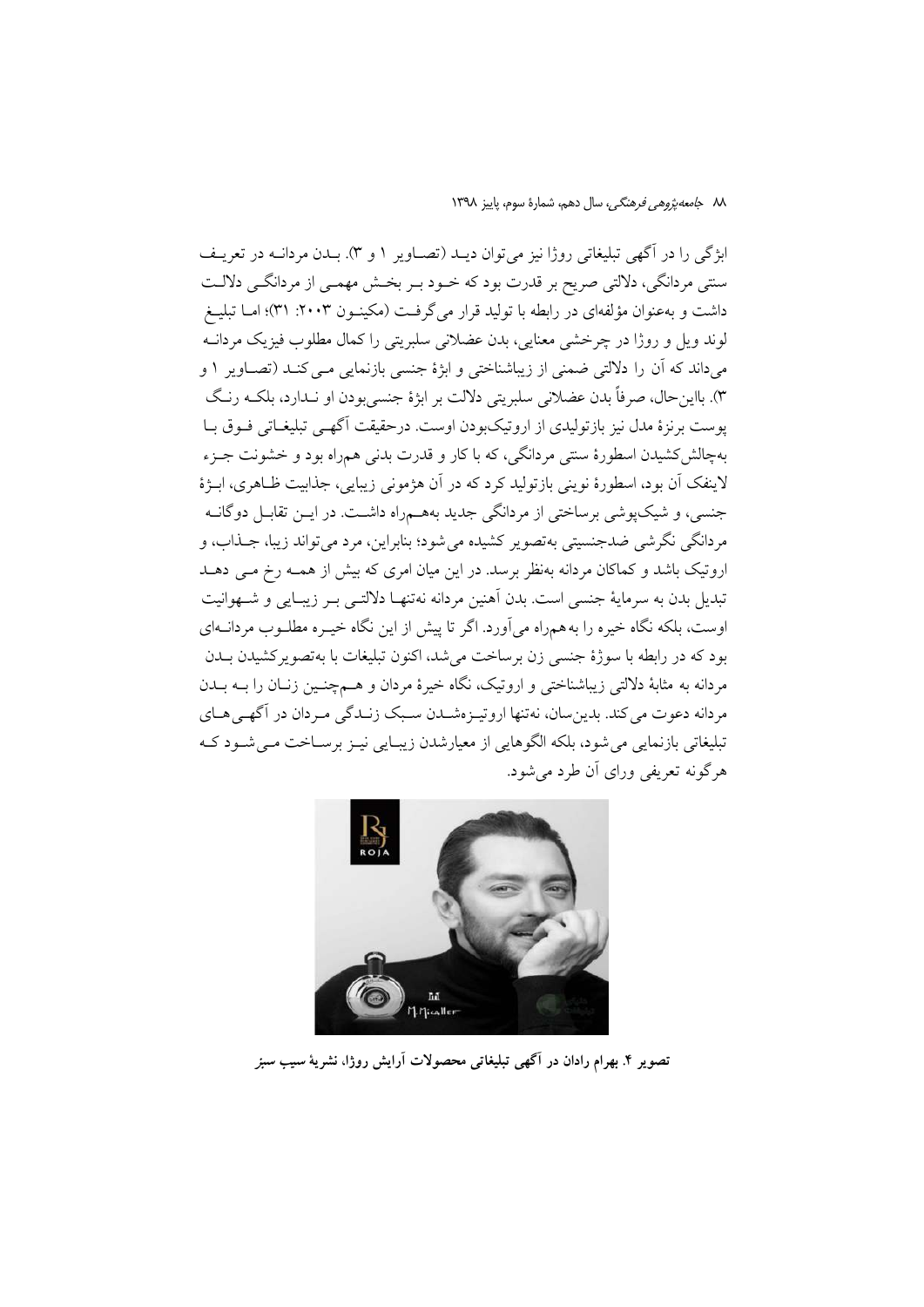٨٨ ج*امعه يژوهي فرهنگي،* سال دهم، شمارة سوم، پاييز ١٣٩٨

ابژگی را در آگهی تبلیغاتی روژا نیز می توان دیـد (تصـاویر ۱ و ۳). بـدن مردانــه در تعریـف سنتی مردانگی، دلالتی صریح بر قدرت بود که خــود بــر بخــش مهمــی از مردانگــی دلالــت داشت و بهعنوان مؤلفهای در رابطه با تولید قرار میگرفت (مکینــون ۲۰۰۳: ۳۱)؛ امــا تبلیــغ لوند ويل و روژا در چرخشي معنايي، بدن عضلاني سلبريتي را كمال مطلوب فيزيک مردانــه می داند که آن را دلالتی ضمنی از زیباشناختی و ابژهٔ جنسی بازنمایی مبی کنـد (تصـاویر ۱ و ۳). بااینحال، صرفاً بدن عضلانی سلبریتی دلالت بر ابژهٔ جنسیبودن او نـدارد، بلکـه رنـگ یوست برنزهٔ مدل نیز بازتولیدی از اروتیکبودن اوست. درحقیقت آگهـی تبلیغــاتی فــوق بــا بهچالش کشیدن اسطورهٔ سنتی مردانگی، که با کار و قدرت بدنی همراه بود و خشونت جـزء لاينفک اَن بود، اسطورهٔ نويني بازتوليد کرد که در اَن هژموني زيبايي، جذابيت ظــاهري، ابــژهٔ جنسی، و شیک یوشی برساختی از مردانگی جدید بههــمراه داشــت. در ایــن تقابــل دوگانــه مردانگي نگرشي ضدجنسيتي بهتصوير کشيده مي شود؛ بنابراين، مرد مي تواند زيبا، جـذاب، و اروتیک باشد و کماکان مردانه بهنظر برسد. در این میان امری که بیش از همـه رخ مـی دهـد تبدیل بدن به سرمایهٔ جنسی است. بدن اَهنین مردانه نهتنهـا دلالتـبی بـر زیبـایی و شـهوانیت اوست، بلکه نگاه خیره را به همراه می آورد. اگر تا پیش از این نگاه خیـره مطلـوب مردانـهای بود که در رابطه با سوژهٔ جنسی زن برساخت می شد، اکنون تبلیغات با بهتصویر کشیدن بــدن مردانه به مثابهٔ دلالتی زیباشناختی و اروتیک، نگاه خیرهٔ مردان و هــمچنـین زنـان را بــه بــدن مردانه دعوت می کند. بدین سان، نهتنها اروتیـزهشـدن سـبک زنـدگی مـردان در آگهـی هـای تبليغاتي بازنمايي مي شود، بلكه الگوهايي از معيارشدن زيبـايي نيــز برســاخت مــي شــود كــه هرگونه تعریفی ورای أن طرد می شود.



تصویر ۴. بهرام رادان در آگهی تبلیغاتی محصولات آرایش روژا، نشریهٔ سیب سبز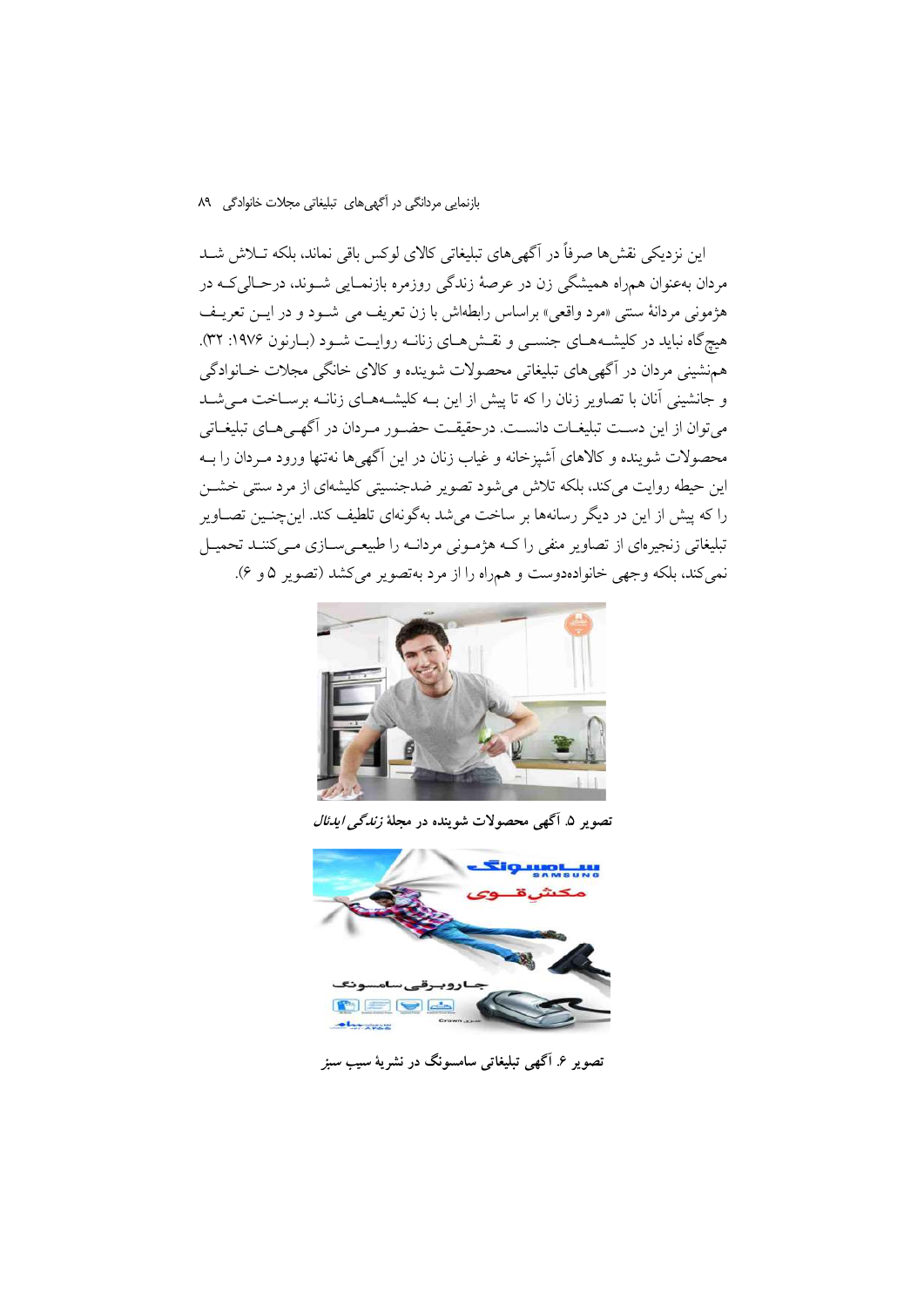این نزدیکی نقش ها صرفاً در آگهی های تبلیغاتی کالای لوکس باقی نماند، بلکه تــلاش شــد مردان بهعنوان همراه همیشگی زن در عرصهٔ زندگی روزمره بازنمـایی شــوند، درحـالی کــه در هژمونی مردانهٔ سنتی «مرد واقعی» براساس رابطهاش با زن تعریف می شـود و در ایــن تعریــف هیچگاه نباید در کلیشـههـای جنسـی و نقـش۱هـای زنانـه روایـت شـود (بـارنون ۱۹۷۶: ۳۲). همهنشینی مردان در آگهی های تبلیغاتی محصولات شوینده و کالای خانگی مجلات خـانوادگی و جانشینی آنان با تصاویر زنان را که تا پیش از این بـه کلیشــههـای زنانــه برســاخت مــیشــد می توان از این دست تبلیغــات دانســت. درحقیقــت حضــور مــردان در آگهــی هــای تبلیغــاتی محصولات شوينده و كالاهاي آشيزخانه و غياب زنان در اين آگهي ها نهتنها ورود مـردان را بــه این حیطه روایت میکند، بلکه تلاش میشود تصویر ضدجنسیتی کلیشهای از مرد سنتی خشــن را که پیش از این در دیگر رسانهها بر ساخت می شد بهگونهای تلطیف کند. این چنـین تصـاویر تبلیغاتی زنجیرهای از تصاویر منفی را کـه هژمـونی مردانـه را طبیعـیسـازی مـیکننـد تحمیـل نمي كند، بلكه وجهي خانوادهدوست و همراه را از مرد بهتصوير مي كشد (تصوير ۵ و ۶).



نصویر ۵ آگهی محصولات شوینده در مجلهٔ *زندگ<sub>ی</sub> ایدئال* 



تصویر ۶ آگهی تبلیغاتی سامسونگ در نشریهٔ سیب سبز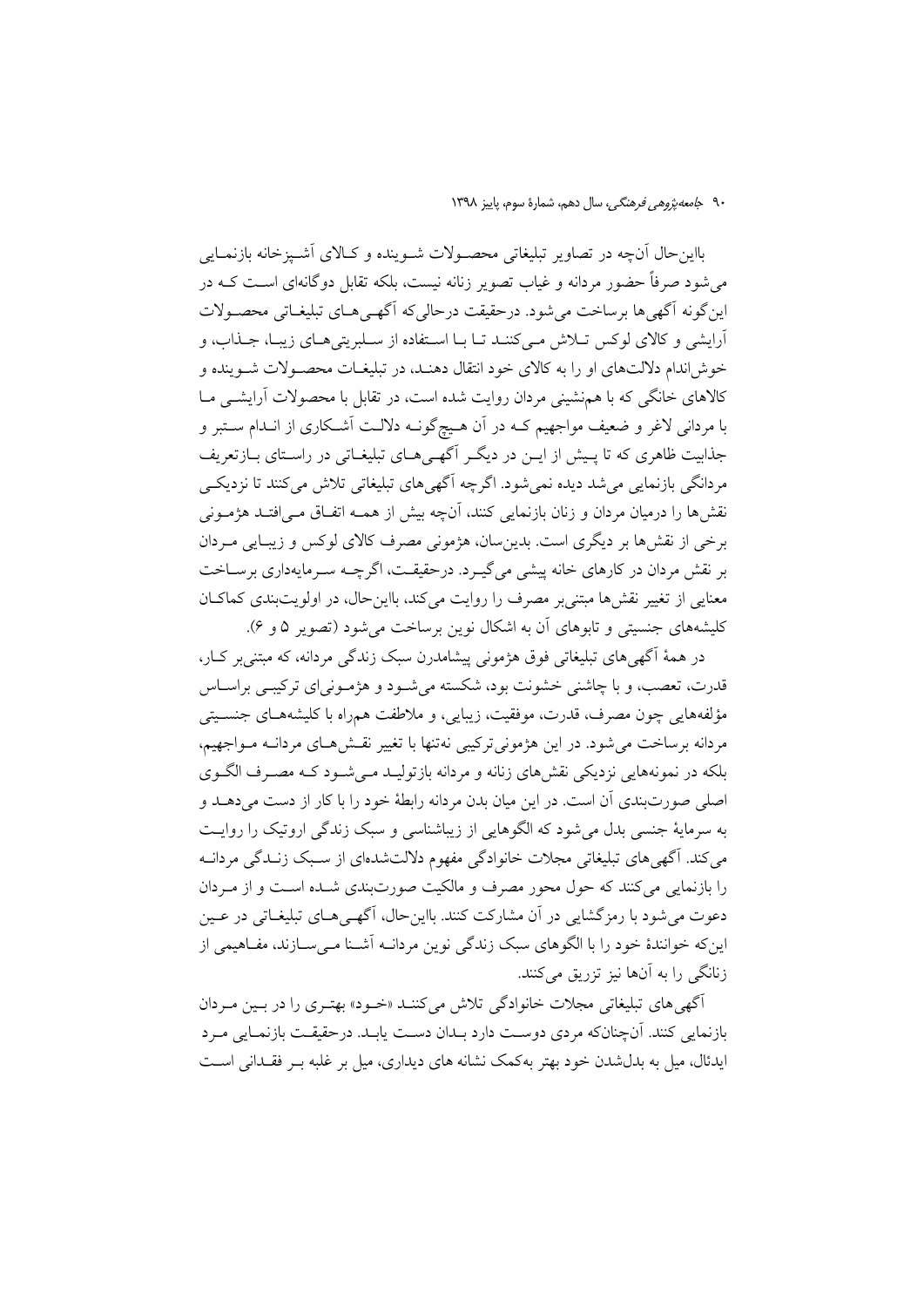بااین حال اّنچه در تصاویر تبلیغاتی محصـولات شـوینده و کـالای اَشـیزخانه بازنمـایی می شود صرفاً حضور مردانه و غیاب تصویر زنانه نیست، بلکه تقابل دوگانهای اسـت کـه در این گونه آگهی ها برساخت می شود. درحقیقت درحالی که آگهـی هـای تبلیغـاتی محصـولات أرايشي و كالاي لوكس تـلاش مـي كننـد تـا بـا اسـتفاده از سـلبريتي هـاي زيبـا، جـذاب، و خوش اندام دلالتهای او را به کالای خود انتقال دهنـد، در تبلیغـات محصـولات شـوینده و کالاهای خانگی که با هم نشینی مردان روایت شده است، در تقابل با محصولات آرایشــی مــا با مردانی لاغر و ضعیف مواجهیم کـه در آن هـیچگونـه دلالـت آشـکاری از انـدام سـتبر و جذابیت ظاهری که تا پـیش از ایــن در دیگــر آگهــی۵حـای تبلیغــاتی در راسـتای بــازتعریف مردانگی بازنمایی می شد دیده نمی شود. اگرچه آگهی های تبلیغاتی تلاش می کنند تا نزدیکے نقش ها را درمیان مردان و زنان بازنمایی کنند، آنچه بیش از همــه اتفــاق مــی|فتــد هژمــونی برخی از نقش ها بر دیگری است. بدین سان، هژمونی مصرف کالای لوکس و زیبـایی مـردان بر نقش مردان در کارهای خانه پیشی می گیـرد. درحقیقـت، اگرچــه سـرمایهداری برسـاخت معنایی از تغییر نقش ها مبتنی بر مصرف را روایت میکند، بااین حال، در اولویتبندی کماک ن کلیشههای جنسیتی و تابوهای آن به اشکال نوین برساخت می شود (تصویر ۵ و ۶).

در همهٔ اَگهی۵های تبلیغاتی فوق هژمونی پیشامدرن سبک زندگی مردانه، که مبتنی بر کـار، قدرت، تعصب، و با چاشنی خشونت بود، شکسته میشـود و هژمـونیای ترکیبـی براسـاس مؤلفههایی چون مصرف، قدرت، موفقیت، زیبایی، و ملاطفت همراه با کلیشههـای جنسـیتی مردانه برساخت می شود. در این هژمونی ترکیبی نه تنها با تغییر نقـش هـای مردانـه مـواجهیم، بلکه در نمونههایی نزدیکی نقشهای زنانه و مردانه بازتولیـد مـی شـود کـه مصـرف الگـوی اصلی صورتبندی آن است. در این میان بدن مردانه رابطهٔ خود را با کار از دست میدهــد و به سرمایهٔ جنسی بدل می شود که الگوهایی از زیباشناسی و سبک زندگی اروتیک را روایت می کند. آگهی های تبلیغاتی مجلات خانوادگی مفهوم دلالتشدهای از سبک زنـدگی مردانـه را بازنمایی می کنند که حول محور مصرف و مالکیت صورتبندی شـده اسـت و از مـردان دعوت می شود با رمز گشایی در آن مشارکت کنند. بااین حال، آگهـی هـای تبلیغـاتی در عـین اینکه خوانندهٔ خود را با الگوهای سبک زندگی نوین مردانــه آشــنا مــیســازند، مفــاهیمی از زنانگی را به آنها نیز تزریق میکنند.

اًگهی های تبلیغاتی مجلات خانوادگی تلاش می کننــد «خــود» بهتـری را در بــین مـردان بازنمایی کنند. آنچنانکه مردی دوست دارد بـدان دسـت یابـد. درحقیقـت بازنمـایی مـرد ایدئال، میل به بدل شدن خود بهتر به کمک نشانه های دیداری، میل بر غلبه بـر فقـدانی اسـت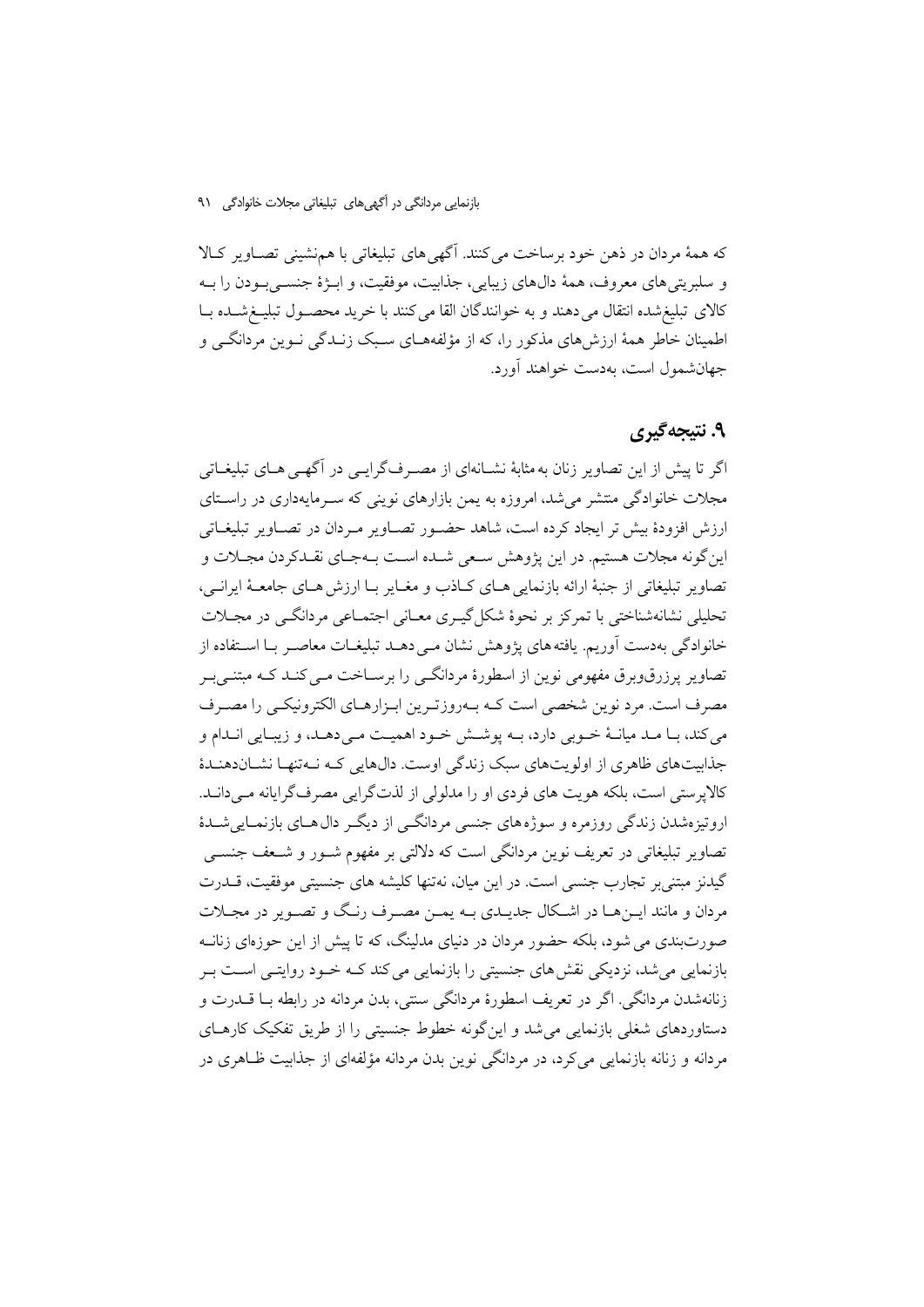که همهٔ مردان در ذهن خود برساخت می کنند. آگهی های تبلیغاتی با هم نشینی تصـاویر کـالا و سلبريتي هاي معروف، همهٔ دالهاي زيبايي، جذابيت، موفقيت، و ابـــژهٔ جنســي بــودن را بــه كالاي تبليغشده انتقال مى دهند و به خوانندگان القا مى كنند با خريد محصـول تبليـغشـده بـا اطمینان خاطر همهٔ ارزشهای مذکور را، که از مؤلفههــای ســبک زنــدگی نــوین مردانگــی و جهان شمول است، بهدست خواهند آورد.

## ۹. نتيجهگيري

اگر تا پیش از این تصاویر زنان به مثابهٔ نشـانهای از مصـرفگرایـی در آگهـی هـای تبلیغـاتی مجلات خانوادگی منتشر می شد، امروزه به یمن بازارهای نوینی که سـرمایهداری در راسـتای ارزش افزودهٔ بیش تر ایجاد کرده است، شاهد حضـور تصـاویر مـردان در تصـاویر تبلیغـاتی این گونه مجلات هستیم. در این پژوهش سـعي شـده اسـت بـهجـاي نقـدكردن مجـلات و تصاوير تبليغاتي از جنبهٔ ارائه بازنمايي هـاي كـاذب و مغـاير بـا ارزش هـاي جامعـهٔ ايرانـي، تحلیلی نشانهشناختی با تمرکز بر نحوهٔ شکل گیـری معـانی اجتمـاعی مردانگـی در مجـلات خانوادگی بهدست آوریم. یافته های پژوهش نشان مـی دهـد تبلیغـات معاصـر بـا اسـتفاده از تصاویر پرزرقوںوں قامفھومی نوین از اسطورۂ مردانگے را پرسپاخت مے کنید کیه مبتنے سر مصرف است. مرد نوین شخصی است کـه بــهروزتـرین ابـزارهــای الکترونیکــی را مصــرف مي كند، بــا مــد ميانــهٔ خــوبي دارد، بــه يوشــش خــود اهميــت مــي دهــد، و زيبــايي انــدام و جذابت های ظاهری از اولویت های سبک زندگی اوست. دال هایی کـه نـهتنهـا نشــان دهنـدهٔ کالایرستی است، بلکه هویت های فردی او را مدلولی از لذتگرایی مصرف گرایانه مے دانــد. اروتیزهشدن زندگی روزمره و سوژههای جنسی مردانگــی از دیگــر دال۵هــای بازنمــایی شــدهٔ تصاویر تبلیغاتی در تعریف نوین مردانگی است که دلالتی بر مفهوم شــور و شــعف جنســی گیدنز مبتنی پر تجارب جنسی است. در این میان، نهتنها کلیشه های جنسیتی موفقیت، قــدرت مردان و مانند ایـن هـا در اشـكال جدیـدي بـه یمـن مصـرف رنـگ و تصـویر در مجـلات صورتبندی می شود، بلکه حضور مردان در دنیای مدلینگ، که تا پیش از این حوزمای زنانـه بازنمایی می شد، نزدیکی نقش های جنسیتی را بازنمایی می کند کــه خــود روایتــی اســت بــر زنانهشدن مردانگي. اگر در تعريف اسطورهٔ مردانگي سنتي، بدن مردانه در رابطه بــا قـــدرت و دستاوردهای شغلی بازنمایی می شد و این گونه خطوط جنسیتی را از طریق تفکیک کارهبای مردانه و زنانه بازنمایی می کرد، در مردانگی نوین بدن مردانه مؤلفهای از جذابیت ظـاهری در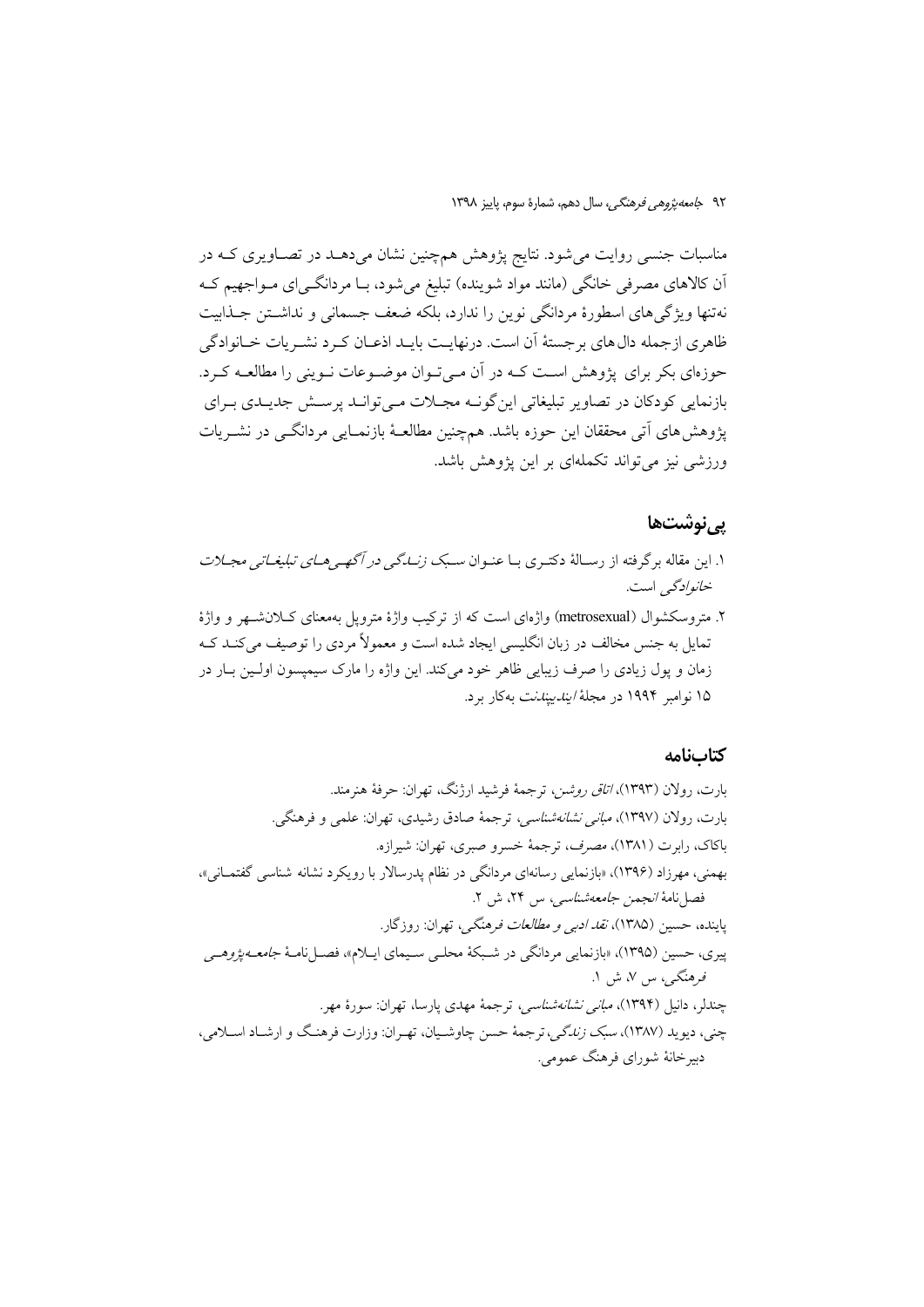مناسبات جنسی روایت میشود. نتایج پژوهش همچنین نشان میدهــد در تصــاویری کــه در اّن کالاهای مصرفی خانگی (مانند مواد شوینده) تبلیغ میشود، بــا مردانگــیای مــواجهیم کــه نهتنها ويژگي هاي اسطورهٔ مردانگي نوين را ندارد، بلكه ضعف جسماني و نداشتن جـذابيت ظاهري ازجمله دال هاي برجستهٔ آن است. درنهايـت بايـد اذعـان كـرد نشـريات خـانوادگي حوزهای بکر برای پژوهش است کـه در آن مـی تـوان موضـوعات نـوینی را مطالعـه کـرد. بازنمایی کودکان در تصاویر تبلیغاتی این گونـه مجـلات مـی توانـد پرسـش جدیـدی بـرای پژوهش های آتی محققان این حوزه باشد. همچنین مطالعـهٔ بازنمـایی مردانگــی در نشــریات ورزشی نیز می تواند تکملهای بر این پژوهش باشد.

### <u>یے نوشتھا</u>

- ۱. این مقاله بر گرفته از رسـالهٔ دکتـری بـا عنـوان *سـبک زنــاگی در آگھـ ٍ هـای تبلیغـاتی مجــلات خانوادگے است.*
- ۲. متروسکشوال (metrosexual) واژهای است که از ترکیب واژهٔ مترویل بهمعنای کـلان شـهر و واژهٔ تمایل به جنس مخالف در زبان انگلیسی ایجاد شده است و معمولاً مردی را توصیف میکنـد کـه زمان و پول زیادی را صرف زیبایی ظاهر خود می کند. این واژه را مارک سیمیسون اولـین بـار در ۱۵ نوامبر ۱۹۹۴ در مجلهٔ *ایندییندنت* بهکار برد.

### كتابنامه